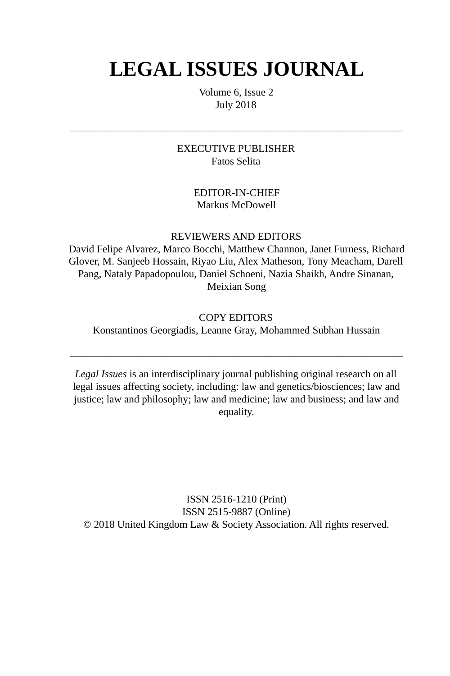# **LEGAL ISSUES JOURNAL**

Volume 6, Issue 2 July 2018

EXECUTIVE PUBLISHER Fatos Selita

 $\overline{\phantom{a}}$  , and the contract of the contract of the contract of the contract of the contract of the contract of the contract of the contract of the contract of the contract of the contract of the contract of the contrac

#### EDITOR-IN-CHIEF Markus McDowell

REVIEWERS AND EDITORS

David Felipe Alvarez, Marco Bocchi, Matthew Channon, Janet Furness, Richard Glover, M. Sanjeeb Hossain, Riyao Liu, Alex Matheson, Tony Meacham, Darell Pang, Nataly Papadopoulou, Daniel Schoeni, Nazia Shaikh, Andre Sinanan, Meixian Song

#### COPY EDITORS

Konstantinos Georgiadis, Leanne Gray, Mohammed Subhan Hussain

 $\overline{\phantom{a}}$  , and the contract of the contract of the contract of the contract of the contract of the contract of the contract of the contract of the contract of the contract of the contract of the contract of the contrac

*Legal Issues* is an interdisciplinary journal publishing original research on all legal issues affecting society, including: law and genetics/biosciences; law and justice; law and philosophy; law and medicine; law and business; and law and equality.

ISSN 2516-1210 (Print) ISSN 2515-9887 (Online) © 2018 United Kingdom Law & Society Association. All rights reserved.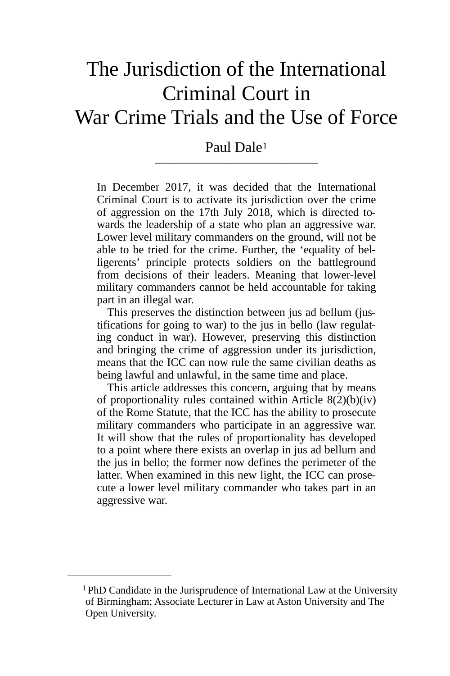# The Jurisdiction of the International Criminal Court in War Crime Trials and the Use of Force

## <span id="page-1-1"></span>Paul Dale[1](#page-1-0) *————————————————*

In December 2017, it was decided that the International Criminal Court is to activate its jurisdiction over the crime of aggression on the 17th July 2018, which is directed towards the leadership of a state who plan an aggressive war. Lower level military commanders on the ground, will not be able to be tried for the crime. Further, the 'equality of belligerents' principle protects soldiers on the battleground from decisions of their leaders. Meaning that lower-level military commanders cannot be held accountable for taking part in an illegal war.

This preserves the distinction between jus ad bellum (justifications for going to war) to the jus in bello (law regulating conduct in war). However, preserving this distinction and bringing the crime of aggression under its jurisdiction, means that the ICC can now rule the same civilian deaths as being lawful and unlawful, in the same time and place.

This article addresses this concern, arguing that by means of proportionality rules contained within Article 8(2)(b)(iv) of the Rome Statute, that the ICC has the ability to prosecute military commanders who participate in an aggressive war. It will show that the rules of proportionality has developed to a point where there exists an overlap in jus ad bellum and the jus in bello; the former now defines the perimeter of the latter. When examined in this new light, the ICC can prosecute a lower level military commander who takes part in an aggressive war.

<span id="page-1-0"></span> $1$  PhD Candidate in the Jurisprudence of International Law at the University of Birmingham; Associate Lecturer in Law at Aston University and The Open University.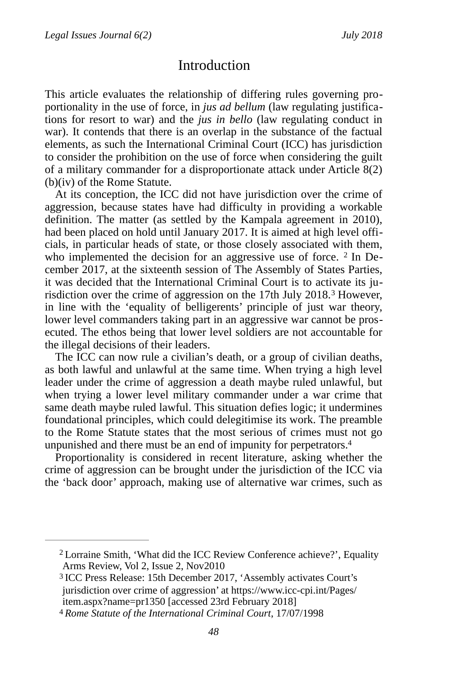## <span id="page-2-4"></span><span id="page-2-3"></span>**Introduction**

This article evaluates the relationship of differing rules governing proportionality in the use of force, in *jus ad bellum* (law regulating justifications for resort to war) and the *jus in bello* (law regulating conduct in war). It contends that there is an overlap in the substance of the factual elements, as such the International Criminal Court (ICC) has jurisdiction to consider the prohibition on the use of force when considering the guilt of a military commander for a disproportionate attack under Article 8(2) (b)(iv) of the Rome Statute.

At its conception, the ICC did not have jurisdiction over the crime of aggression, because states have had difficulty in providing a workable definition. The matter (as settled by the Kampala agreement in 2010), had been placed on hold until January 2017. It is aimed at high level officials, in particular heads of state, or those closely associated with them, who implemented the decision for an aggressive use of force.  $2 \text{ In De-}$ cember 2017, at the sixteenth session of The Assembly of States Parties, it was decided that the International Criminal Court is to activate its jurisdiction over the crime of aggression on the  $17$ th July  $2018<sup>3</sup>$  $2018<sup>3</sup>$  $2018<sup>3</sup>$  However, in line with the 'equality of belligerents' principle of just war theory, lower level commanders taking part in an aggressive war cannot be prosecuted. The ethos being that lower level soldiers are not accountable for the illegal decisions of their leaders.

The ICC can now rule a civilian's death, or a group of civilian deaths, as both lawful and unlawful at the same time. When trying a high level leader under the crime of aggression a death maybe ruled unlawful, but when trying a lower level military commander under a war crime that same death maybe ruled lawful. This situation defies logic; it undermines foundational principles, which could delegitimise its work. The preamble to the Rome Statute states that the most serious of crimes must not go unpunished and there must be an end of impunity for perpetrators[. 4](#page-2-2)

<span id="page-2-5"></span>Proportionality is considered in recent literature, asking whether the crime of aggression can be brought under the jurisdiction of the ICC via the 'back door' approach, making use of alternative war crimes, such as

<span id="page-2-0"></span><sup>&</sup>lt;sup>[2](#page-2-3)</sup> Lorraine Smith, 'What did the ICC Review Conference achieve?', Equality Arms Review, Vol 2, Issue 2, Nov2010

<span id="page-2-1"></span><sup>&</sup>lt;sup>[3](#page-2-4)</sup> ICC Press Release: 15th December 2017, 'Assembly activates Court's jurisdiction over crime of aggression' at https://www.icc-cpi.int/Pages/ item.aspx?name=pr1350 [accessed 23rd February 2018]

<span id="page-2-2"></span>[<sup>4</sup>](#page-2-5) *Rome Statute of the International Criminal Court*, 17/07/1998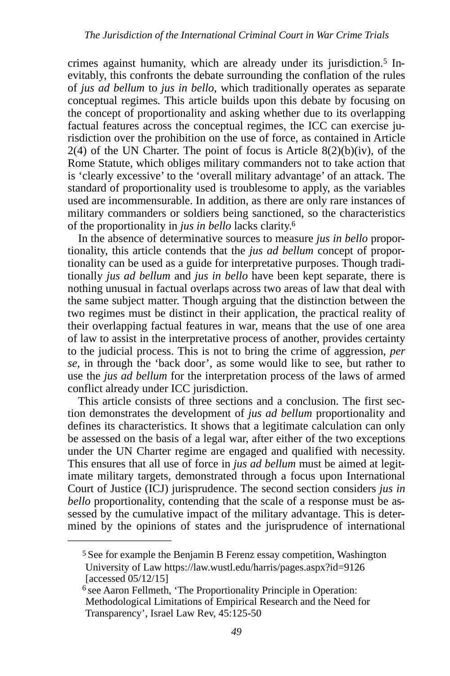<span id="page-3-2"></span>crimes against humanity, which are already under its jurisdiction.<sup>5</sup> Inevitably, this confronts the debate surrounding the conflation of the rules of *jus ad bellum* to *jus in bello*, which traditionally operates as separate conceptual regimes*.* This article builds upon this debate by focusing on the concept of proportionality and asking whether due to its overlapping factual features across the conceptual regimes, the ICC can exercise jurisdiction over the prohibition on the use of force, as contained in Article  $2(4)$  of the UN Charter. The point of focus is Article  $8(2)(b)(iv)$ , of the Rome Statute, which obliges military commanders not to take action that is 'clearly excessive' to the 'overall military advantage' of an attack. The standard of proportionality used is troublesome to apply, as the variables used are incommensurable. In addition, as there are only rare instances of military commanders or soldiers being sanctioned, so the characteristics of the proportionality in *jus in bello* lacks clarity[. 6](#page-3-1)

<span id="page-3-3"></span>In the absence of determinative sources to measure *jus in bello* proportionality, this article contends that the *jus ad bellum* concept of proportionality can be used as a guide for interpretative purposes. Though traditionally *jus ad bellum* and *jus in bello* have been kept separate, there is nothing unusual in factual overlaps across two areas of law that deal with the same subject matter. Though arguing that the distinction between the two regimes must be distinct in their application, the practical reality of their overlapping factual features in war, means that the use of one area of law to assist in the interpretative process of another, provides certainty to the judicial process. This is not to bring the crime of aggression, *per se*, in through the 'back door', as some would like to see, but rather to use the *jus ad bellum* for the interpretation process of the laws of armed conflict already under ICC jurisdiction.

This article consists of three sections and a conclusion. The first section demonstrates the development of *jus ad bellum* proportionality and defines its characteristics. It shows that a legitimate calculation can only be assessed on the basis of a legal war, after either of the two exceptions under the UN Charter regime are engaged and qualified with necessity. This ensures that all use of force in *jus ad bellum* must be aimed at legitimate military targets, demonstrated through a focus upon International Court of Justice (ICJ) jurisprudence. The second section considers *jus in bello* proportionality, contending that the scale of a response must be assessed by the cumulative impact of the military advantage. This is determined by the opinions of states and the jurisprudence of international

<span id="page-3-0"></span><sup>&</sup>lt;sup>[5](#page-3-2)</sup> See for example the Benjamin B Ferenz essay competition, Washington University of Law https://law.wustl.edu/harris/pages.aspx?id=9126 [accessed 05/12/15]

<span id="page-3-1"></span> $6$  see Aaron Fellmeth, 'The Proportionality Principle in Operation: Methodological Limitations of Empirical Research and the Need for Transparency', Israel Law Rev, 45:125-50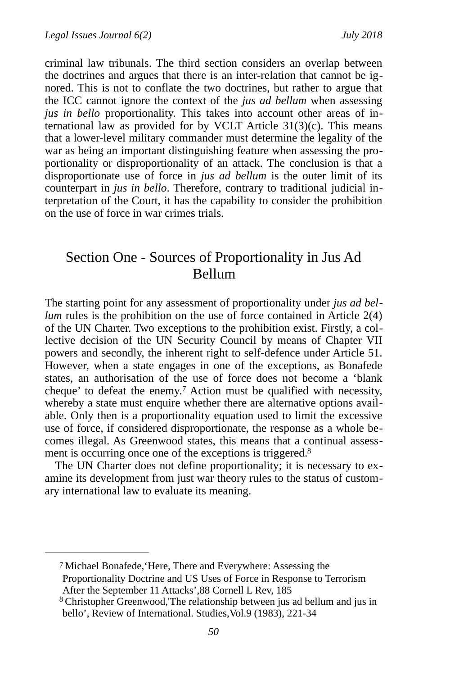criminal law tribunals. The third section considers an overlap between the doctrines and argues that there is an inter-relation that cannot be ignored. This is not to conflate the two doctrines, but rather to argue that the ICC cannot ignore the context of the *jus ad bellum* when assessing *jus in bello* proportionality. This takes into account other areas of international law as provided for by VCLT Article 31(3)(c). This means that a lower-level military commander must determine the legality of the war as being an important distinguishing feature when assessing the proportionality or disproportionality of an attack. The conclusion is that a disproportionate use of force in *jus ad bellum* is the outer limit of its counterpart in *jus in bello*. Therefore, contrary to traditional judicial interpretation of the Court, it has the capability to consider the prohibition on the use of force in war crimes trials.

# Section One - Sources of Proportionality in Jus Ad Bellum

The starting point for any assessment of proportionality under *jus ad bellum* rules is the prohibition on the use of force contained in Article 2(4) of the UN Charter. Two exceptions to the prohibition exist. Firstly, a collective decision of the UN Security Council by means of Chapter VII powers and secondly, the inherent right to self-defence under Article 51. However, when a state engages in one of the exceptions, as Bonafede states, an authorisation of the use of force does not become a 'blank cheque'to defeat the enemy.<sup>[7](#page-4-0)</sup> Action must be qualified with necessity, whereby a state must enquire whether there are alternative options available. Only then is a proportionality equation used to limit the excessive use of force, if considered disproportionate, the response as a whole becomes illegal. As Greenwood states, this means that a continual assessment is occurring once one of the exceptions is triggered.<sup>8</sup>

<span id="page-4-3"></span><span id="page-4-2"></span>The UN Charter does not define proportionality; it is necessary to examine its development from just war theory rules to the status of customary international law to evaluate its meaning.

<span id="page-4-0"></span>Michael Bonafede,'Here, There and Everywhere: Assessing the [7](#page-4-2) Proportionality Doctrine and US Uses of Force in Response to Terrorism After the September 11 Attacks',88 Cornell L Rev, 185

<span id="page-4-1"></span><sup>&</sup>lt;sup>[8](#page-4-3)</sup> Christopher Greenwood, The relationship between jus ad bellum and jus in bello', Review of International. Studies, Vol.9 (1983), 221-34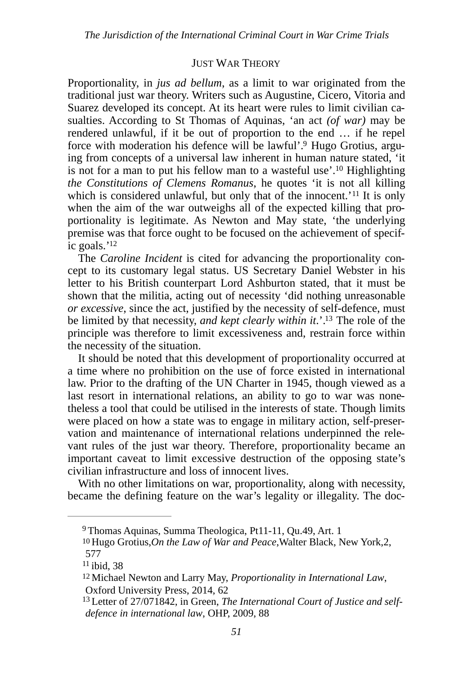#### <span id="page-5-7"></span><span id="page-5-6"></span><span id="page-5-5"></span>**JUST WAR THEORY**

Proportionality, in *jus ad bellum*, as a limit to war originated from the traditional just war theory. Writers such as Augustine, Cicero, Vitoria and Suarez developed its concept. At its heart were rules to limit civilian casualties. According to St Thomas of Aquinas, 'an act *(of war)* may be rendered unlawful, if it be out of proportion to the end … if he repel force with moderation his defence will be lawful'[.](#page-5-0)<sup>9</sup> Hugo Grotius, arguing from concepts of a universal law inherent in human nature stated, 'it is not for a man to put his fellow man to a wasteful use'[.](#page-5-1)<sup>10</sup> Highlighting *the Constitutions of Clemens Romanus*, he quotes 'it is not all killing whichis considered unlawful, but only that of the innocent.'<sup>[11](#page-5-2)</sup> It is only when the aim of the war outweighs all of the expected killing that proportionality is legitimate. As Newton and May state, 'the underlying premise was that force ought to be focused on the achievement of specific goals. $12$ 

<span id="page-5-8"></span>The *Caroline Incident* is cited for advancing the proportionality concept to its customary legal status. US Secretary Daniel Webster in his letter to his British counterpart Lord Ashburton stated, that it must be shown that the militia, acting out of necessity 'did nothing unreasonable *or excessive*, since the act, justified by the necessity of self-defence, must be limited by that necessity, *and kept clearly within it*.'.<sup>[13](#page-5-4)</sup> The role of the principle was therefore to limit excessiveness and, restrain force within the necessity of the situation.

<span id="page-5-9"></span>It should be noted that this development of proportionality occurred at a time where no prohibition on the use of force existed in international law. Prior to the drafting of the UN Charter in 1945, though viewed as a last resort in international relations, an ability to go to war was nonetheless a tool that could be utilised in the interests of state. Though limits were placed on how a state was to engage in military action, self-preservation and maintenance of international relations underpinned the relevant rules of the just war theory. Therefore, proportionality became an important caveat to limit excessive destruction of the opposing state's civilian infrastructure and loss of innocent lives.

With no other limitations on war, proportionality, along with necessity, became the defining feature on the war's legality or illegality. The doc-

<span id="page-5-0"></span> $9$ Thomas Aquinas, Summa Theologica, Pt11-11, Qu.49, Art. 1

<span id="page-5-1"></span>Hugo Grotius,*On the Law of War and Peace*,Walter Black, New York,2, [10](#page-5-6) 577

<span id="page-5-2"></span> $11$  ibid, 38

<span id="page-5-3"></span><sup>&</sup>lt;sup>[12](#page-5-8)</sup> Michael Newton and Larry May, *Proportionality in International Law*, Oxford University Press, 2014, 62

<span id="page-5-4"></span><sup>&</sup>lt;sup>[13](#page-5-9)</sup> Letter of 27/071842, in Green, *The International Court of Justice and selfdefence in international law*, OHP, 2009, 88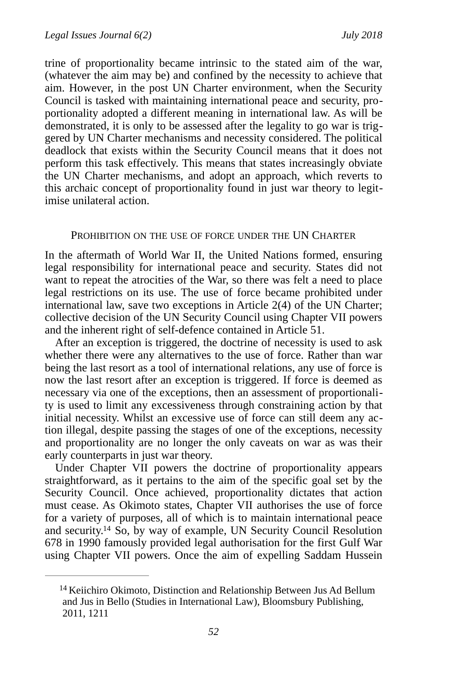trine of proportionality became intrinsic to the stated aim of the war, (whatever the aim may be) and confined by the necessity to achieve that aim. However, in the post UN Charter environment, when the Security Council is tasked with maintaining international peace and security, proportionality adopted a different meaning in international law. As will be demonstrated, it is only to be assessed after the legality to go war is triggered by UN Charter mechanisms and necessity considered. The political deadlock that exists within the Security Council means that it does not perform this task effectively. This means that states increasingly obviate the UN Charter mechanisms, and adopt an approach, which reverts to this archaic concept of proportionality found in just war theory to legitimise unilateral action.

#### PROHIBITION ON THE USE OF FORCE UNDER THE UN CHARTER

In the aftermath of World War II, the United Nations formed, ensuring legal responsibility for international peace and security. States did not want to repeat the atrocities of the War, so there was felt a need to place legal restrictions on its use. The use of force became prohibited under international law, save two exceptions in Article 2(4) of the UN Charter; collective decision of the UN Security Council using Chapter VII powers and the inherent right of self-defence contained in Article 51.

After an exception is triggered, the doctrine of necessity is used to ask whether there were any alternatives to the use of force. Rather than war being the last resort as a tool of international relations, any use of force is now the last resort after an exception is triggered. If force is deemed as necessary via one of the exceptions, then an assessment of proportionality is used to limit any excessiveness through constraining action by that initial necessity. Whilst an excessive use of force can still deem any action illegal, despite passing the stages of one of the exceptions, necessity and proportionality are no longer the only caveats on war as was their early counterparts in just war theory.

Under Chapter VII powers the doctrine of proportionality appears straightforward, as it pertains to the aim of the specific goal set by the Security Council. Once achieved, proportionality dictates that action must cease. As Okimoto states, Chapter VII authorises the use of force for a variety of purposes, all of which is to maintain international peace andsecurity.<sup>[14](#page-6-0)</sup> So, by way of example, UN Security Council Resolution 678 in 1990 famously provided legal authorisation for the first Gulf War using Chapter VII powers. Once the aim of expelling Saddam Hussein

<span id="page-6-1"></span><span id="page-6-0"></span> $14$  Keiichiro Okimoto, Distinction and Relationship Between Jus Ad Bellum and Jus in Bello (Studies in International Law), Bloomsbury Publishing, 2011, 1211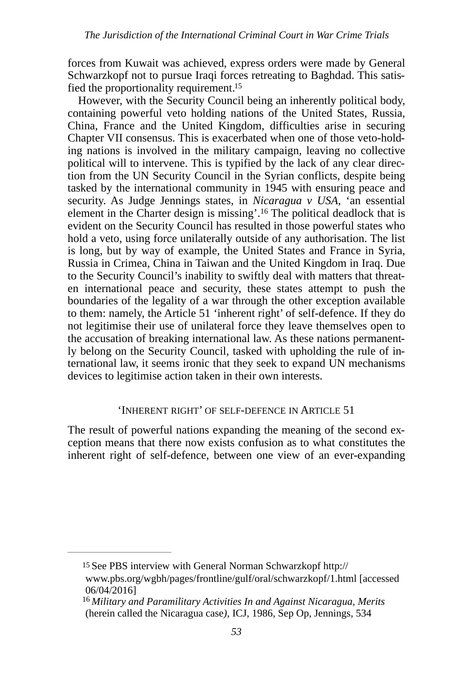forces from Kuwait was achieved, express orders were made by General Schwarzkopf not to pursue Iraqi forces retreating to Baghdad. This satis-fied the proportionality requirement[.](#page-7-0)<sup>[15](#page-7-0)</sup>

<span id="page-7-3"></span><span id="page-7-2"></span>However, with the Security Council being an inherently political body, containing powerful veto holding nations of the United States, Russia, China, France and the United Kingdom, difficulties arise in securing Chapter VII consensus. This is exacerbated when one of those veto-holding nations is involved in the military campaign, leaving no collective political will to intervene. This is typified by the lack of any clear direction from the UN Security Council in the Syrian conflicts, despite being tasked by the international community in 1945 with ensuring peace and security. As Judge Jennings states, in *Nicaragua v USA*, 'an essential element in the Charter design is missing'.<sup>[16](#page-7-1)</sup> The political deadlock that is evident on the Security Council has resulted in those powerful states who hold a veto, using force unilaterally outside of any authorisation. The list is long, but by way of example, the United States and France in Syria, Russia in Crimea, China in Taiwan and the United Kingdom in Iraq. Due to the Security Council's inability to swiftly deal with matters that threaten international peace and security, these states attempt to push the boundaries of the legality of a war through the other exception available to them: namely, the Article 51 'inherent right' of self-defence. If they do not legitimise their use of unilateral force they leave themselves open to the accusation of breaking international law. As these nations permanently belong on the Security Council, tasked with upholding the rule of international law, it seems ironic that they seek to expand UN mechanisms devices to legitimise action taken in their own interests.

#### 'INHERENT RIGHT' OF SELF-DEFENCE IN ARTICLE 51

The result of powerful nations expanding the meaning of the second exception means that there now exists confusion as to what constitutes the inherent right of self-defence, between one view of an ever-expanding

<span id="page-7-0"></span>[15](#page-7-2) See PBS interview with General Norman Schwarzkopf http:// www.pbs.org/wgbh/pages/frontline/gulf/oral/schwarzkopf/1.html [accessed 06/04/2016]

<span id="page-7-1"></span><sup>&</sup>lt;sup>[16](#page-7-3)</sup> Military and Paramilitary Activities In and Against Nicaragua, Merits (herein called the Nicaragua case*)*, ICJ, 1986, Sep Op, Jennings, 534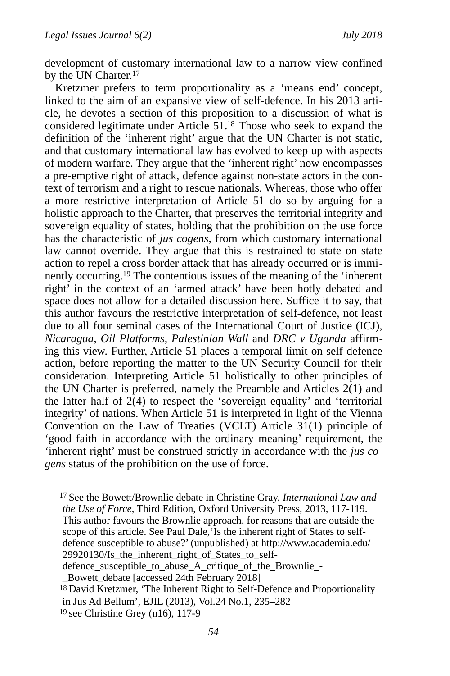<span id="page-8-3"></span>development of customary international law to a narrow view confined by the UN Charter.<sup>[17](#page-8-0)</sup>

<span id="page-8-5"></span><span id="page-8-4"></span>Kretzmer prefers to term proportionality as a 'means end' concept, linked to the aim of an expansive view of self-defence. In his 2013 article, he devotes a section of this proposition to a discussion of what is considered legitimate under Article  $51<sup>18</sup>$  $51<sup>18</sup>$  $51<sup>18</sup>$  Those who seek to expand the definition of the 'inherent right' argue that the UN Charter is not static, and that customary international law has evolved to keep up with aspects of modern warfare. They argue that the 'inherent right' now encompasses a pre-emptive right of attack, defence against non-state actors in the context of terrorism and a right to rescue nationals. Whereas, those who offer a more restrictive interpretation of Article 51 do so by arguing for a holistic approach to the Charter, that preserves the territorial integrity and sovereign equality of states, holding that the prohibition on the use force has the characteristic of *jus cogens*, from which customary international law cannot override. They argue that this is restrained to state on state action to repel a cross border attack that has already occurred or is immi-nently occurring.<sup>[19](#page-8-2)</sup> The contentious issues of the meaning of the 'inherent right' in the context of an 'armed attack' have been hotly debated and space does not allow for a detailed discussion here. Suffice it to say, that this author favours the restrictive interpretation of self-defence, not least due to all four seminal cases of the International Court of Justice (ICJ), *Nicaragua, Oil Platforms, Palestinian Wall* and *DRC v Uganda* affirming this view. Further, Article 51 places a temporal limit on self-defence action, before reporting the matter to the UN Security Council for their consideration. Interpreting Article 51 holistically to other principles of the UN Charter is preferred, namely the Preamble and Articles  $2(1)$  and the latter half of  $2(4)$  to respect the 'sovereign equality' and 'territorial integrity' of nations. When Article 51 is interpreted in light of the Vienna Convention on the Law of Treaties (VCLT) Article 31(1) principle of 'good faith in accordance with the ordinary meaning' requirement, the 'inherent right' must be construed strictly in accordance with the *jus cogens* status of the prohibition on the use of force.

<span id="page-8-0"></span><sup>&</sup>lt;sup>[17](#page-8-3)</sup> See the Bowett/Brownlie debate in Christine Gray, *International Law and the Use of Force*, Third Edition, Oxford University Press, 2013, 117-119. This author favours the Brownlie approach, for reasons that are outside the scope of this article. See Paul Dale,'Is the inherent right of States to selfdefence susceptible to abuse?' (unpublished) at http://www.academia.edu/ 29920130/Is the inherent right of States to self-

defence\_susceptible\_to\_abuse\_A\_critique\_of\_the\_Brownlie\_-

\_Bowett\_debate [accessed 24th February 2018]

<span id="page-8-1"></span> $18$  David Kretzmer, 'The Inherent Right to Self-Defence and Proportionality in Jus Ad Bellum', EJIL (2013), Vol.24 No.1, 235–282

<span id="page-8-2"></span>[<sup>19</sup>](#page-8-5) see Christine Grey (n16), 117-9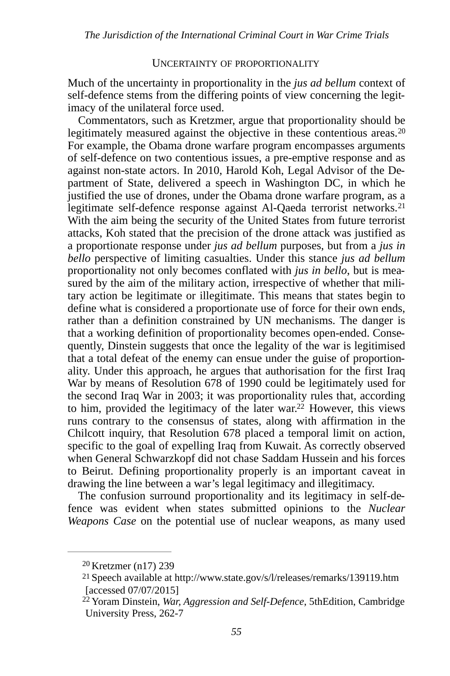#### <span id="page-9-4"></span><span id="page-9-3"></span>UNCERTAINTY OF PROPORTIONALITY

Much of the uncertainty in proportionality in the *jus ad bellum* context of self-defence stems from the differing points of view concerning the legitimacy of the unilateral force used.

Commentators, such as Kretzmer, argue that proportionality should be legitimately measured against the objective in these contentious areas.<sup>[20](#page-9-0)</sup> For example, the Obama drone warfare program encompasses arguments of self-defence on two contentious issues, a pre-emptive response and as against non-state actors. In 2010, Harold Koh, Legal Advisor of the Department of State, delivered a speech in Washington DC, in which he justified the use of drones, under the Obama drone warfare program, as a legitimate self-defence response against Al-Qaeda terrorist networks.<sup>[21](#page-9-1)</sup> With the aim being the security of the United States from future terrorist attacks, Koh stated that the precision of the drone attack was justified as a proportionate response under *jus ad bellum* purposes, but from a *jus in bello* perspective of limiting casualties. Under this stance *jus ad bellum*  proportionality not only becomes conflated with *jus in bello*, but is measured by the aim of the military action, irrespective of whether that military action be legitimate or illegitimate. This means that states begin to define what is considered a proportionate use of force for their own ends, rather than a definition constrained by UN mechanisms. The danger is that a working definition of proportionality becomes open-ended. Consequently, Dinstein suggests that once the legality of the war is legitimised that a total defeat of the enemy can ensue under the guise of proportionality. Under this approach, he argues that authorisation for the first Iraq War by means of Resolution 678 of 1990 could be legitimately used for the second Iraq War in 2003; it was proportionality rules that, according to him, provided the legitimacy of the later war.<sup>[22](#page-9-2)</sup> However, this views runs contrary to the consensus of states, along with affirmation in the Chilcott inquiry, that Resolution 678 placed a temporal limit on action, specific to the goal of expelling Iraq from Kuwait. As correctly observed when General Schwarzkopf did not chase Saddam Hussein and his forces to Beirut. Defining proportionality properly is an important caveat in drawing the line between a war's legal legitimacy and illegitimacy.

<span id="page-9-5"></span>The confusion surround proportionality and its legitimacy in self-defence was evident when states submitted opinions to the *Nuclear Weapons Case* on the potential use of nuclear weapons, as many used

<span id="page-9-0"></span> $20$  Kretzmer (n17) 239

<span id="page-9-1"></span><sup>&</sup>lt;sup>[21](#page-9-4)</sup> Speech available at http://www.state.gov/s/l/releases/remarks/139119.htm [accessed 07/07/2015]

<span id="page-9-2"></span><sup>&</sup>lt;sup>[22](#page-9-5)</sup> Yoram Dinstein, *War, Aggression and Self-Defence*, 5thEdition, Cambridge University Press, 262-7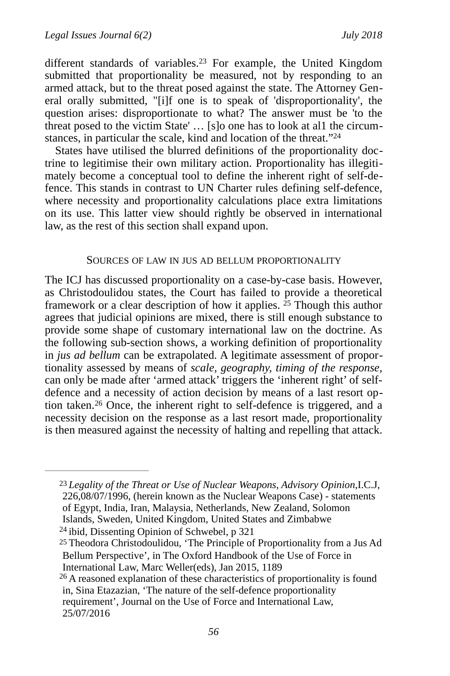<span id="page-10-4"></span>different standards of variables.<sup>[23](#page-10-0)</sup> For example, the United Kingdom submitted that proportionality be measured, not by responding to an armed attack, but to the threat posed against the state. The Attorney General orally submitted, "[i]f one is to speak of 'disproportionality', the question arises: disproportionate to what? The answer must be 'to the threat posed to the victim State' … [s]o one has to look at al1 the circumstances, in particular the scale, kind and location of the threat."<sup>24</sup>

States have utilised the blurred definitions of the proportionality doctrine to legitimise their own military action. Proportionality has illegitimately become a conceptual tool to define the inherent right of self-defence. This stands in contrast to UN Charter rules defining self-defence, where necessity and proportionality calculations place extra limitations on its use. This latter view should rightly be observed in international law, as the rest of this section shall expand upon.

#### <span id="page-10-6"></span><span id="page-10-5"></span>SOURCES OF LAW IN JUS AD BELLUM PROPORTIONALITY

The ICJ has discussed proportionality on a case-by-case basis. However, as Christodoulidou states, the Court has failed to provide a theoretical framework or a clear description of how it applies.  $25$  Though this author agrees that judicial opinions are mixed, there is still enough substance to provide some shape of customary international law on the doctrine. As the following sub-section shows, a working definition of proportionality in *jus ad bellum* can be extrapolated. A legitimate assessment of proportionality assessed by means of *scale, geography, timing of the response,* can only be made after 'armed attack' triggers the 'inherent right' of selfdefence and a necessity of action decision by means of a last resort op-tion taken.<sup>[26](#page-10-3)</sup> Once, the inherent right to self-defence is triggered, and a necessity decision on the response as a last resort made, proportionality is then measured against the necessity of halting and repelling that attack.

<span id="page-10-7"></span><span id="page-10-0"></span>*Legality of the Threat or Use of Nuclear Weapons, Advisory Opinion*,I.C.J, [23](#page-10-4) 226,08/07/1996, (herein known as the Nuclear Weapons Case) - statements of Egypt, India, Iran, Malaysia, Netherlands, New Zealand, Solomon Islands, Sweden, United Kingdom, United States and Zimbabwe  $24$  ibid, Dissenting Opinion of Schwebel, p 321

<span id="page-10-2"></span><span id="page-10-1"></span><sup>&</sup>lt;sup>[25](#page-10-6)</sup> Theodora Christodoulidou, 'The Principle of Proportionality from a Jus Ad Bellum Perspective', in [The Oxford Handbook of the Use of Force in](http://www.oxfordhandbooks.com/view/10.1093/law/9780199673049.001.0001/oxfordhb-9780199673049)  [International Law,](http://www.oxfordhandbooks.com/view/10.1093/law/9780199673049.001.0001/oxfordhb-9780199673049) Marc Weller(eds), Jan 2015, 1189

<span id="page-10-3"></span> $26$  A reasoned explanation of these characteristics of proportionality is found in, Sina Etazazian, 'The nature of the self-defence proportionality requirement', Journal on the Use of Force and International Law, 25/07/2016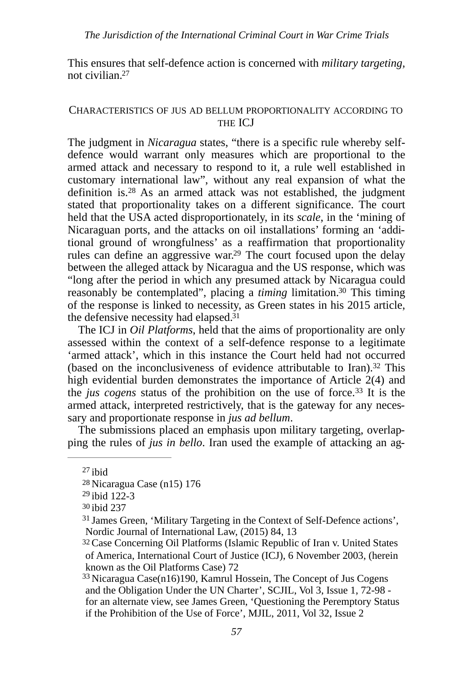<span id="page-11-7"></span>This ensures that self-defence action is concerned with *military targeting,*  not civilian[. 27](#page-11-0)

#### CHARACTERISTICS OF JUS AD BELLUM PROPORTIONALITY ACCORDING TO THE ICJ

<span id="page-11-8"></span>The judgment in *Nicaragua* states, "there is a specific rule whereby selfdefence would warrant only measures which are proportional to the armed attack and necessary to respond to it, a rule well established in customary international law", without any real expansion of what the definition is. $28$  As an armed attack was not established, the judgment stated that proportionality takes on a different significance. The court held that the USA acted disproportionately, in its *scale*, in the 'mining of Nicaraguan ports, and the attacks on oil installations' forming an 'additional ground of wrongfulness' as a reaffirmation that proportionality rules can define an aggressive war.<sup>[29](#page-11-2)</sup> The court focused upon the delay between the alleged attack by Nicaragua and the US response, which was "long after the period in which any presumed attack by Nicaragua could reasonably be contemplated", placing a *timing* limitation.<sup>[30](#page-11-3)</sup> This timing of the response is linked to necessity, as Green states in his 2015 article, the defensive necessity had elapsed. $31$ 

<span id="page-11-12"></span><span id="page-11-11"></span><span id="page-11-10"></span><span id="page-11-9"></span>The ICJ in *Oil Platforms*, held that the aims of proportionality are only assessed within the context of a self-defence response to a legitimate 'armed attack', which in this instance the Court held had not occurred (based on the inconclusiveness of evidence attributable to Iran)[.](#page-11-5) $32$  This high evidential burden demonstrates the importance of Article 2(4) and the *jus cogens* status of the prohibition on the use of force.<sup>[33](#page-11-6)</sup> It is the armed attack, interpreted restrictively, that is the gateway for any necessary and proportionate response in *jus ad bellum*.

The submissions placed an emphasis upon military targeting, overlapping the rules of *jus in bello*. Iran used the example of attacking an ag-

<span id="page-11-13"></span><span id="page-11-0"></span> $27$  ibid

<span id="page-11-1"></span>[<sup>28</sup>](#page-11-8) Nicaragua Case (n15) 176

<span id="page-11-2"></span> $29$  ibid 122-3

<span id="page-11-3"></span>[<sup>30</sup>](#page-11-10) ibid 237

<span id="page-11-4"></span> $31$  James Green, 'Military Targeting in the Context of Self-Defence actions', Nordic Journal of International Law, (2015) 84, 13

<span id="page-11-5"></span>[<sup>32</sup>](#page-11-12) Case Concerning Oil Platforms (Islamic Republic of Iran v. United States of America, International Court of Justice (ICJ), 6 November 2003, (herein known as the Oil Platforms Case) 72

<span id="page-11-6"></span> $33$  Nicaragua Case(n16)190, Kamrul Hossein, The Concept of Jus Cogens and the Obligation Under the UN Charter', SCJIL, Vol 3, Issue 1, 72-98 for an alternate view, see James Green, 'Questioning the Peremptory Status if the Prohibition of the Use of Force', MJIL, 2011, Vol 32, Issue 2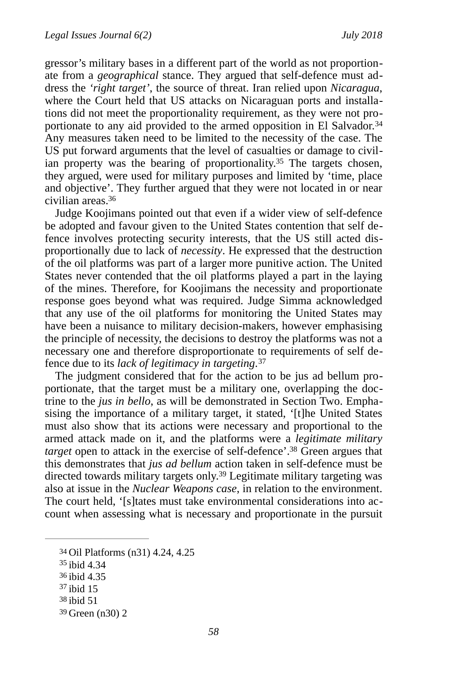<span id="page-12-6"></span>gressor's military bases in a different part of the world as not proportionate from a *geographical* stance. They argued that self-defence must address the *'right target'*, the source of threat. Iran relied upon *Nicaragua*, where the Court held that US attacks on Nicaraguan ports and installations did not meet the proportionality requirement, as they were not pro-portionate to any aid provided to the armed opposition in El Salvador.<sup>[34](#page-12-0)</sup> Any measures taken need to be limited to the necessity of the case. The US put forward arguments that the level of casualties or damage to civil-ian property was the bearing of proportionality.<sup>[35](#page-12-1)</sup> The targets chosen, they argued, were used for military purposes and limited by 'time, place and objective'. They further argued that they were not located in or near civilian areas[.36](#page-12-2)

<span id="page-12-8"></span><span id="page-12-7"></span>Judge Koojimans pointed out that even if a wider view of self-defence be adopted and favour given to the United States contention that self defence involves protecting security interests, that the US still acted disproportionally due to lack of *necessity*. He expressed that the destruction of the oil platforms was part of a larger more punitive action. The United States never contended that the oil platforms played a part in the laying of the mines. Therefore, for Koojimans the necessity and proportionate response goes beyond what was required. Judge Simma acknowledged that any use of the oil platforms for monitoring the United States may have been a nuisance to military decision-makers, however emphasising the principle of necessity, the decisions to destroy the platforms was not a necessary one and therefore disproportionate to requirements of self defence due to its *lack of legitimacy in targeting*. [37](#page-12-3)

<span id="page-12-9"></span>The judgment considered that for the action to be jus ad bellum proportionate, that the target must be a military one, overlapping the doctrine to the *jus in bello*, as will be demonstrated in Section Two. Emphasising the importance of a military target, it stated, '[t]he United States must also show that its actions were necessary and proportional to the armed attack made on it, and the platforms were a *legitimate military target* open to attack in the exercise of self-defence'.<sup>[38](#page-12-4)</sup> Green argues that this demonstrates that *jus ad bellum* action taken in self-defence must be directed towards military targets only.<sup>[39](#page-12-5)</sup> Legitimate military targeting was also at issue in the *Nuclear Weapons case*, in relation to the environment. The court held, '[s]tates must take environmental considerations into account when assessing what is necessary and proportionate in the pursuit

- <span id="page-12-2"></span>[36](#page-12-8) ibid 4.35
- <span id="page-12-3"></span> $37$  ibid 15
- <span id="page-12-4"></span>[38](#page-12-10) ibid 51
- <span id="page-12-5"></span>[39](#page-12-11) Green (n30) 2

<span id="page-12-11"></span><span id="page-12-10"></span><span id="page-12-0"></span>[<sup>34</sup>](#page-12-6) Oil Platforms (n31) 4.24, 4.25

<span id="page-12-1"></span> $35$  ibid 4.34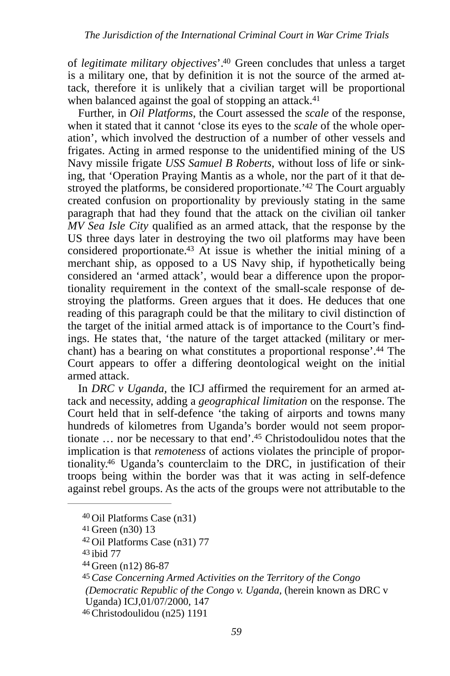<span id="page-13-7"></span>of *legitimate military objectives*'.<sup>[40](#page-13-0)</sup> Green concludes that unless a target is a military one, that by definition it is not the source of the armed attack, therefore it is unlikely that a civilian target will be proportional when balanced against the goal of stopping an attack.<sup>[41](#page-13-1)</sup>

<span id="page-13-10"></span><span id="page-13-9"></span><span id="page-13-8"></span>Further, in *Oil Platforms*, the Court assessed the *scale* of the response, when it stated that it cannot 'close its eyes to the *scale* of the whole operation', which involved the destruction of a number of other vessels and frigates. Acting in armed response to the unidentified mining of the US Navy missile frigate *USS Samuel B Roberts*, without loss of life or sinking, that 'Operation Praying Mantis as a whole, nor the part of it that de-stroyed the platforms, be considered proportionate.<sup>['](#page-13-2)[42](#page-13-2)</sup> The Court arguably created confusion on proportionality by previously stating in the same paragraph that had they found that the attack on the civilian oil tanker *MV Sea Isle City* qualified as an armed attack, that the response by the US three days later in destroying the two oil platforms may have been considered proportionate.<sup>[43](#page-13-3)</sup> At issue is whether the initial mining of a merchant ship, as opposed to a US Navy ship, if hypothetically being considered an 'armed attack', would bear a difference upon the proportionality requirement in the context of the small-scale response of destroying the platforms. Green argues that it does. He deduces that one reading of this paragraph could be that the military to civil distinction of the target of the initial armed attack is of importance to the Court's findings. He states that, 'the nature of the target attacked (military or mer-chant) has a bearing on what constitutes a proportional response'[.](#page-13-4)<sup>[44](#page-13-4)</sup> The Court appears to offer a differing deontological weight on the initial armed attack.

<span id="page-13-11"></span>In *DRC v Uganda,* the ICJ affirmed the requirement for an armed attack and necessity, adding a *geographical limitation* on the response. The Court held that in self-defence 'the taking of airports and towns many hundreds of kilometres from Uganda's border would not seem proportionate  $\ldots$  nor be necessary to that end'.<sup>[45](#page-13-5)</sup> Christodoulidou notes that the implication is that *remoteness* of actions violates the principle of propor-tionality.<sup>[46](#page-13-6)</sup> Uganda's counterclaim to the DRC, in justification of their troops being within the border was that it was acting in self-defence against rebel groups. As the acts of the groups were not attributable to the

<span id="page-13-6"></span>[46](#page-13-13)Christodoulidou (n25) 1191

<span id="page-13-13"></span><span id="page-13-12"></span><span id="page-13-0"></span><sup>&</sup>lt;sup>[40](#page-13-7)</sup> Oil Platforms Case (n31)

<span id="page-13-1"></span>[<sup>41</sup>](#page-13-8) Green (n30) 13

<span id="page-13-2"></span><sup>&</sup>lt;sup>[42](#page-13-9)</sup> Oil Platforms Case (n31) 77

<span id="page-13-3"></span>[<sup>43</sup>](#page-13-10) ibid 77

<span id="page-13-4"></span>Green (n12) 86-87 [44](#page-13-11)

<span id="page-13-5"></span>*Case Concerning Armed Activities on the Territory of the Congo* [45](#page-13-12) *(Democratic Republic of the Congo v. Uganda, (herein known as DRC v.* Uganda) ICJ,01/07/2000, 147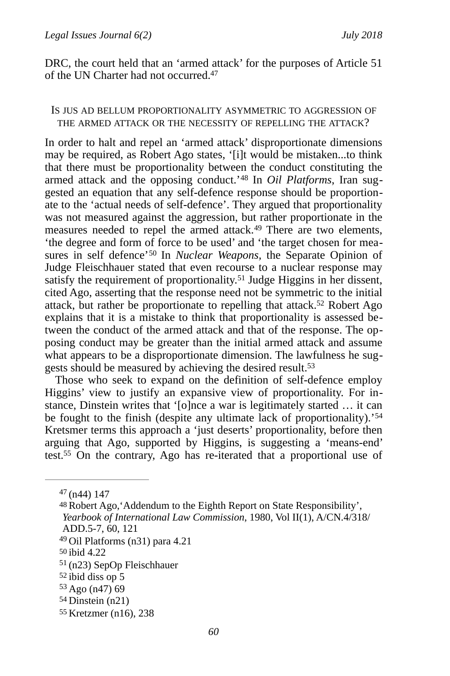DRC, the court held that an 'armed attack' for the purposes of Article 51 of the UN Charter had not occurred[. 47](#page-14-0)

#### <span id="page-14-9"></span>IS JUS AD BELLUM PROPORTIONALITY ASYMMETRIC TO AGGRESSION OF THE ARMED ATTACK OR THE NECESSITY OF REPELLING THE ATTACK?

<span id="page-14-12"></span><span id="page-14-11"></span><span id="page-14-10"></span>In order to halt and repel an 'armed attack' disproportionate dimensions may be required, as Robert Ago states, '[i]t would be mistaken...to think that there must be proportionality between the conduct constituting the armed attack and the opposing conduct.'<sup>48</sup> In *Oil Platforms*, Iran suggested an equation that any self-defence response should be proportionate to the 'actual needs of self-defence'. They argued that proportionality was not measured against the aggression, but rather proportionate in the measures needed to repel the armed attack.<sup>[49](#page-14-2)</sup> There are two elements, 'the degree and form of force to be used' and 'the target chosen for mea-sures in self defence'<sup>[50](#page-14-3)</sup> In *Nuclear Weapons*, the Separate Opinion of Judge Fleischhauer stated that even recourse to a nuclear response may satisfy the requirement of proportionality.<sup>[51](#page-14-4)</sup> Judge Higgins in her dissent, cited Ago, asserting that the response need not be symmetric to the initial attack, but rather be proportionate to repelling that attack.<sup>[52](#page-14-5)</sup> Robert Ago explains that it is a mistake to think that proportionality is assessed between the conduct of the armed attack and that of the response. The opposing conduct may be greater than the initial armed attack and assume what appears to be a disproportionate dimension. The lawfulness he sug-gests should be measured by achieving the desired result[.](#page-14-6)<sup>[53](#page-14-6)</sup>

<span id="page-14-15"></span><span id="page-14-14"></span><span id="page-14-13"></span>Those who seek to expand on the definition of self-defence employ Higgins' view to justify an expansive view of proportionality. For instance, Dinstein writes that '[o]nce a war is legitimately started … it can be fought to the finish (despite any ultimate lack of proportionality).'[54](#page-14-7) Kretsmer terms this approach a 'just deserts' proportionality, before then arguing that Ago, supported by Higgins, is suggesting a 'means-end' test[.](#page-14-8)<sup>[55](#page-14-8)</sup> On the contrary, Ago has re-iterated that a proportional use of

<span id="page-14-8"></span>[55](#page-14-17) Kretzmer (n16), 238

<span id="page-14-17"></span><span id="page-14-16"></span><span id="page-14-0"></span> $47$ (n44) 147

<span id="page-14-1"></span>[<sup>48</sup>](#page-14-10) Robert Ago, 'Addendum to the Eighth Report on State Responsibility', *Yearbook of International Law Commission*, 1980, Vol II(1), A/CN.4/318/ ADD.5-7, 60, 121

<span id="page-14-2"></span> $49$  Oil Platforms (n31) para 4.21

<span id="page-14-3"></span>[<sup>50</sup>](#page-14-12) ibid 4.22

<span id="page-14-4"></span><sup>&</sup>lt;sup>[51](#page-14-13)</sup> (n23) SepOp Fleischhauer

<span id="page-14-5"></span>[<sup>52</sup>](#page-14-14) ibid diss op 5

<span id="page-14-6"></span> $53$  Ago (n47) 69

<span id="page-14-7"></span> $54$  Dinstein (n21)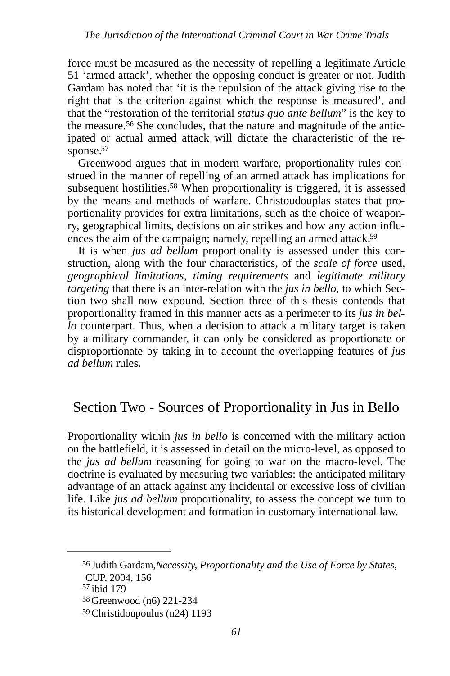force must be measured as the necessity of repelling a legitimate Article 51 'armed attack', whether the opposing conduct is greater or not. Judith Gardam has noted that 'it is the repulsion of the attack giving rise to the right that is the criterion against which the response is measured', and that the "restoration of the territorial *status quo ante bellum*" is the key to the measure.<sup>56</sup> She concludes, that the nature and magnitude of the anticipated or actual armed attack will dictate the characteristic of the re-sponse.<sup>[57](#page-15-1)</sup>

<span id="page-15-6"></span><span id="page-15-5"></span><span id="page-15-4"></span>Greenwood argues that in modern warfare, proportionality rules construed in the manner of repelling of an armed attack has implications for subsequent hostilities[.](#page-15-2)<sup>[58](#page-15-2)</sup> When proportionality is triggered, it is assessed by the means and methods of warfare. Christoudouplas states that proportionality provides for extra limitations, such as the choice of weaponry, geographical limits, decisions on air strikes and how any action influences the aim of the campaign; namely, repelling an armed attack.<sup>59</sup>

<span id="page-15-7"></span>It is when *jus ad bellum* proportionality is assessed under this construction, along with the four characteristics, of the *scale of force* used, *geographical limitations*, *timing requirements* and *legitimate military targeting* that there is an inter-relation with the *jus in bello*, to which Section two shall now expound. Section three of this thesis contends that proportionality framed in this manner acts as a perimeter to its *jus in bello* counterpart. Thus, when a decision to attack a military target is taken by a military commander, it can only be considered as proportionate or disproportionate by taking in to account the overlapping features of *jus ad bellum* rules.

# Section Two - Sources of Proportionality in Jus in Bello

Proportionality within *jus in bello* is concerned with the military action on the battlefield, it is assessed in detail on the micro-level, as opposed to the *jus ad bellum* reasoning for going to war on the macro-level. The doctrine is evaluated by measuring two variables: the anticipated military advantage of an attack against any incidental or excessive loss of civilian life. Like *jus ad bellum* proportionality, to assess the concept we turn to its historical development and formation in customary international law.

<span id="page-15-0"></span><sup>&</sup>lt;sup>[56](#page-15-4)</sup> Judith Gardam, Necessity, Proportionality and the Use of Force by States,

CUP, 2004, 156

<span id="page-15-1"></span><sup>&</sup>lt;sup>[57](#page-15-5)</sup> ibid 179

<span id="page-15-2"></span>[<sup>58</sup>](#page-15-6) Greenwood (n6) 221-234

<span id="page-15-3"></span>[<sup>59</sup>](#page-15-7)Christidoupoulus (n24) 1193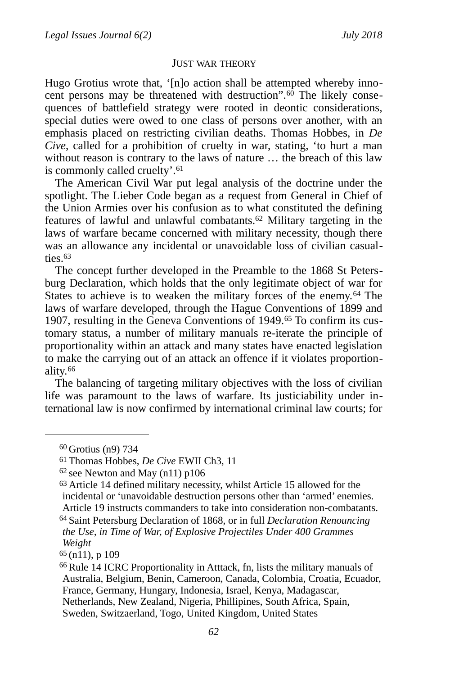#### <span id="page-16-11"></span><span id="page-16-9"></span><span id="page-16-8"></span><span id="page-16-7"></span>JUST WAR THEORY

Hugo Grotius wrote that, '[n]o action shall be attempted whereby innocent persons may be threatened with destruction". $60$  The likely consequences of battlefield strategy were rooted in deontic considerations, special duties were owed to one class of persons over another, with an emphasis placed on restricting civilian deaths. Thomas Hobbes, in *De Cive*, called for a prohibition of cruelty in war, stating, 'to hurt a man without reason is contrary to the laws of nature … the breach of this law is commonly called cruelty'. [61](#page-16-1)

The American Civil War put legal analysis of the doctrine under the spotlight. The Lieber Code began as a request from General in Chief of the Union Armies over his confusion as to what constituted the defining features of lawful and unlawful combatants.<sup>[62](#page-16-2)</sup> Military targeting in the laws of warfare became concerned with military necessity, though there was an allowance any incidental or unavoidable loss of civilian casualties[.](#page-16-3) [63](#page-16-3)

<span id="page-16-12"></span><span id="page-16-10"></span>The concept further developed in the Preamble to the 1868 St Petersburg Declaration, which holds that the only legitimate object of war for Statesto achieve is to weaken the military forces of the enemy.<sup>[64](#page-16-4)</sup> The laws of warfare developed, through the Hague Conventions of 1899 and 1907, resulting in the Geneva Conventions of 1949.<sup>65</sup> To confirm its customary status, a number of military manuals re-iterate the principle of proportionality within an attack and many states have enacted legislation to make the carrying out of an attack an offence if it violates proportionality. [66](#page-16-6)

<span id="page-16-13"></span>The balancing of targeting military objectives with the loss of civilian life was paramount to the laws of warfare. Its justiciability under international law is now confirmed by international criminal law courts; for

<span id="page-16-0"></span> $60$  Grotius (n9) 734

<span id="page-16-1"></span>[<sup>61</sup>](#page-16-8) Thomas Hobbes, *De Cive* EWII Ch3, 11

<span id="page-16-2"></span> $62$  see Newton and May (n11) p106

<span id="page-16-3"></span><sup>&</sup>lt;sup>[63](#page-16-10)</sup> Article 14 defined military necessity, whilst Article 15 allowed for the incidental or 'unavoidable destruction persons other than 'armed' enemies. Article 19 instructs commanders to take into consideration non-combatants. Saint Petersburg Declaration of 1868, or in full *Declaration Renouncing* [64](#page-16-11)

<span id="page-16-4"></span>*the Use, in Time of War, of Explosive Projectiles Under 400 Grammes Weight*

<span id="page-16-5"></span>[<sup>65</sup>](#page-16-12) (n11), p 109

<span id="page-16-6"></span> $66$  Rule 14 ICRC Proportionality in Atttack, fn, lists the military manuals of Australia, Belgium, Benin, Cameroon, Canada, Colombia, Croatia, Ecuador, France, Germany, Hungary, Indonesia, Israel, Kenya, Madagascar, Netherlands, New Zealand, Nigeria, Phillipines, South Africa, Spain, Sweden, Switzaerland, Togo, United Kingdom, United States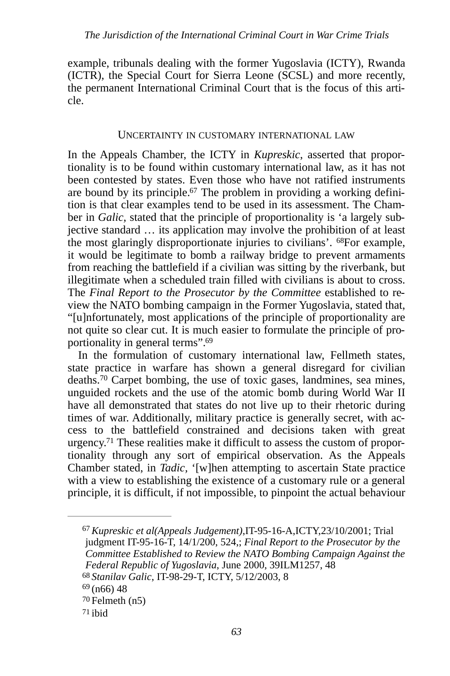example, tribunals dealing with the former Yugoslavia (ICTY), Rwanda (ICTR), the Special Court for Sierra Leone (SCSL) and more recently, the permanent International Criminal Court that is the focus of this article.

#### <span id="page-17-6"></span><span id="page-17-5"></span>UNCERTAINTY IN CUSTOMARY INTERNATIONAL LAW

In the Appeals Chamber, the ICTY in *Kupreskic*, asserted that proportionality is to be found within customary international law, as it has not been contested by states. Even those who have not ratified instruments are bound by its principle. $67$  The problem in providing a working definition is that clear examples tend to be used in its assessment. The Chamber in *Galic,* stated that the principle of proportionality is 'a largely subjective standard … its application may involve the prohibition of at least the most glaringly disproportionate injuries to civilians'. <sup>[68](#page-17-1)</sup>For example, it would be legitimate to bomb a railway bridge to prevent armaments from reaching the battlefield if a civilian was sitting by the riverbank, but illegitimate when a scheduled train filled with civilians is about to cross. The *Final Report to the Prosecutor by the Committee* established to review the NATO bombing campaign in the Former Yugoslavia, stated that, "[u]nfortunately, most applications of the principle of proportionality are not quite so clear cut. It is much easier to formulate the principle of proportionality in general terms"[.69](#page-17-2)

<span id="page-17-8"></span><span id="page-17-7"></span>In the formulation of customary international law, Fellmeth states, state practice in warfare has shown a general disregard for civilian deaths.<sup>[70](#page-17-3)</sup> Carpet bombing, the use of toxic gases, landmines, sea mines, unguided rockets and the use of the atomic bomb during World War II have all demonstrated that states do not live up to their rhetoric during times of war. Additionally, military practice is generally secret, with access to the battlefield constrained and decisions taken with great urgency[.](#page-17-4)<sup> $71$ </sup> These realities make it difficult to assess the custom of proportionality through any sort of empirical observation. As the Appeals Chamber stated, in *Tadic,* '[w]hen attempting to ascertain State practice with a view to establishing the existence of a customary rule or a general principle, it is difficult, if not impossible, to pinpoint the actual behaviour

<span id="page-17-9"></span><span id="page-17-0"></span>*Kupreskic et al(Appeals Judgement)*,IT-95-16-A,ICTY,23/10/2001; Trial [67](#page-17-5) judgment IT-95-16-T, 14/1/200, 524,; *Final Report to the Prosecutor by the Committee Established to Review the NATO Bombing Campaign Against the Federal Republic of Yugoslavia*, June 2000, 39ILM1257, 48 *Stanilav Galic*, IT-98-29-T, ICTY, 5/12/2003, 8 [68](#page-17-6)

<span id="page-17-2"></span><span id="page-17-1"></span> $69(n66)$  $69(n66)$  48

<span id="page-17-3"></span> $70$  Felmeth (n5)

<span id="page-17-4"></span>[<sup>71</sup>](#page-17-9) ibid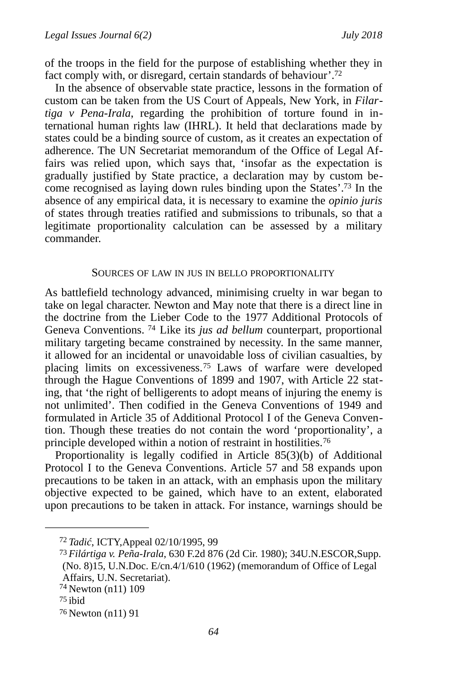<span id="page-18-5"></span>of the troops in the field for the purpose of establishing whether they in fact comply with, or disregard, certain standards of behaviour'.<sup>72</sup>

In the absence of observable state practice, lessons in the formation of custom can be taken from the US Court of Appeals, New York, in *Filartiga v Pena-Irala*, regarding the prohibition of torture found in international human rights law (IHRL). It held that declarations made by states could be a binding source of custom, as it creates an expectation of adherence. The UN Secretariat memorandum of the Office of Legal Affairs was relied upon, which says that, 'insofar as the expectation is gradually justified by State practice, a declaration may by custom be-come recognised as laying down rules binding upon the States'.<sup>[73](#page-18-1)</sup> In the absence of any empirical data, it is necessary to examine the *opinio juris*  of states through treaties ratified and submissions to tribunals, so that a legitimate proportionality calculation can be assessed by a military commander.

#### <span id="page-18-8"></span><span id="page-18-7"></span><span id="page-18-6"></span>SOURCES OF LAW IN JUS IN BELLO PROPORTIONALITY

As battlefield technology advanced, minimising cruelty in war began to take on legal character. Newton and May note that there is a direct line in the doctrine from the Lieber Code to the 1977 Additional Protocols of Geneva Conventions.<sup>[74](#page-18-2)</sup> Like its *jus ad bellum* counterpart, proportional military targeting became constrained by necessity. In the same manner, it allowed for an incidental or unavoidable loss of civilian casualties, by placinglimits on excessiveness.<sup>[75](#page-18-3)</sup> Laws of warfare were developed through the Hague Conventions of 1899 and 1907, with Article 22 stating, that 'the right of belligerents to adopt means of injuring the enemy is not unlimited'. Then codified in the Geneva Conventions of 1949 and formulated in Article 35 of Additional Protocol I of the Geneva Convention. Though these treaties do not contain the word 'proportionality', a principle developed within a notion of restraint in hostilities. [76](#page-18-4)

<span id="page-18-9"></span>Proportionality is legally codified in Article 85(3)(b) of Additional Protocol I to the Geneva Conventions. Article 57 and 58 expands upon precautions to be taken in an attack, with an emphasis upon the military objective expected to be gained, which have to an extent, elaborated upon precautions to be taken in attack. For instance, warnings should be

<span id="page-18-0"></span>*Tadić*, ICTY,Appeal 02/10/1995, 99 [72](#page-18-5)

<span id="page-18-1"></span>*Filártiga v. Peña-Irala*, 630 F.2d 876 (2d Cir. 1980); 34U.N.ESCOR,Supp. [73](#page-18-6) (No. 8)15, U.N.Doc. E/cn.4/1/610 (1962) (memorandum of Office of Legal Affairs, U.N. Secretariat).

<span id="page-18-2"></span><sup>&</sup>lt;sup>[74](#page-18-7)</sup> Newton (n11) 109

<span id="page-18-3"></span>[<sup>75</sup>](#page-18-8) ibid

<span id="page-18-4"></span>[<sup>76</sup>](#page-18-9) Newton (n11) 91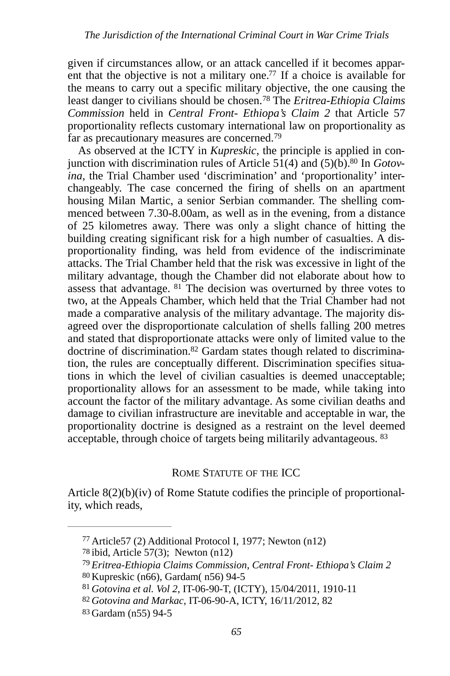<span id="page-19-8"></span><span id="page-19-7"></span>given if circumstances allow, or an attack cancelled if it becomes apparent that the objective is not a military one.<sup> $77$ </sup> If a choice is available for the means to carry out a specific military objective, the one causing the least danger to civilians should be chosen.<sup>78</sup> The *Eritrea-Ethiopia Claims Commission* held in *Central Front- Ethiopa's Claim 2* that Article 57 proportionality reflects customary international law on proportionality as far as precautionary measures are concerned.<sup>[79](#page-19-2)</sup>

<span id="page-19-11"></span><span id="page-19-10"></span><span id="page-19-9"></span>As observed at the ICTY in *Kupreskic*, the principle is applied in conjunction with discrimination rules of Article  $51(4)$  and  $(5)(b)$ [.](#page-19-3)<sup>80</sup> In *Gotovina*, the Trial Chamber used 'discrimination' and 'proportionality' interchangeably. The case concerned the firing of shells on an apartment housing Milan Martic, a senior Serbian commander. The shelling commenced between 7.30-8.00am, as well as in the evening, from a distance of 25 kilometres away. There was only a slight chance of hitting the building creating significant risk for a high number of casualties. A disproportionality finding, was held from evidence of the indiscriminate attacks. The Trial Chamber held that the risk was excessive in light of the military advantage, though the Chamber did not elaborate about how to assess that advantage.  $81$  The decision was overturned by three votes to two, at the Appeals Chamber, which held that the Trial Chamber had not made a comparative analysis of the military advantage. The majority disagreed over the disproportionate calculation of shells falling 200 metres and stated that disproportionate attacks were only of limited value to the doctrine of discrimination[.](#page-19-5)<sup>82</sup> Gardam states though related to discrimination, the rules are conceptually different. Discrimination specifies situations in which the level of civilian casualties is deemed unacceptable; proportionality allows for an assessment to be made, while taking into account the factor of the military advantage. As some civilian deaths and damage to civilian infrastructure are inevitable and acceptable in war, the proportionality doctrine is designed as a restraint on the level deemed  $\frac{1}{2}$  acceptable, through choice of targets being militarily advantageous.  $83$ 

## <span id="page-19-13"></span><span id="page-19-12"></span>ROME STATUTE OF THE ICC

Article 8(2)(b)(iv) of Rome Statute codifies the principle of proportionality, which reads,

<span id="page-19-0"></span> $77$  Article 57 (2) Additional Protocol I, 1977; Newton (n12)

<span id="page-19-1"></span> $78$  ibid, Article 57(3); Newton (n12)

<span id="page-19-2"></span>*Eritrea-Ethiopia Claims Commission*, *Central Front- Ethiopa's Claim 2* [79](#page-19-9)

<span id="page-19-3"></span>[<sup>80</sup>](#page-19-10) Kupreskic (n66), Gardam( n56) 94-5

<span id="page-19-4"></span>*Gotovina et al. Vol 2*, IT-06-90-T, (ICTY), 15/04/2011, 1910-11 [81](#page-19-11)

<span id="page-19-5"></span>[<sup>82</sup>](#page-19-12) *Gotovina and Markac*, IT-06-90-A, ICTY, 16/11/2012, 82

<span id="page-19-6"></span>[<sup>83</sup>](#page-19-13) Gardam (n55) 94-5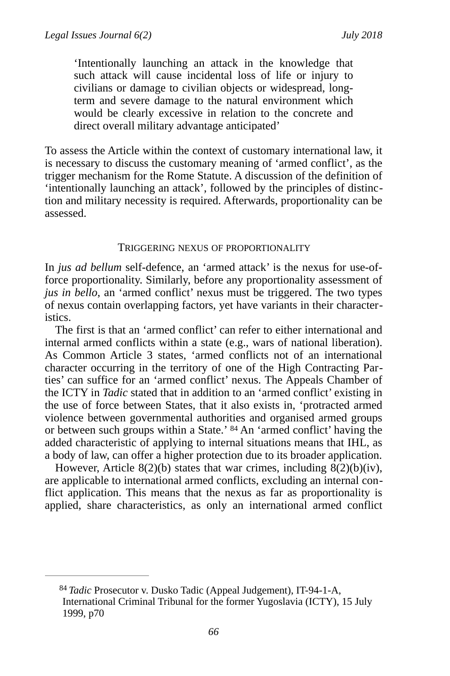'Intentionally launching an attack in the knowledge that such attack will cause incidental loss of life or injury to civilians or damage to civilian objects or widespread, longterm and severe damage to the natural environment which would be clearly excessive in relation to the concrete and direct overall military advantage anticipated'

To assess the Article within the context of customary international law, it is necessary to discuss the customary meaning of 'armed conflict', as the trigger mechanism for the Rome Statute. A discussion of the definition of 'intentionally launching an attack', followed by the principles of distinction and military necessity is required. Afterwards, proportionality can be assessed.

#### TRIGGERING NEXUS OF PROPORTIONALITY

In *jus ad bellum* self-defence, an 'armed attack' is the nexus for use-offorce proportionality. Similarly, before any proportionality assessment of *jus in bello*, an 'armed conflict' nexus must be triggered. The two types of nexus contain overlapping factors, yet have variants in their characteristics.

The first is that an 'armed conflict' can refer to either international and internal armed conflicts within a state (e.g., wars of national liberation). As Common Article 3 states, 'armed conflicts not of an international character occurring in the territory of one of the High Contracting Parties' can suffice for an 'armed conflict' nexus. The Appeals Chamber of the ICTY in *Tadic* stated that in addition to an 'armed conflict' existing in the use of force between States, that it also exists in, 'protracted armed violence between governmental authorities and organised armed groups or between such groups within a State.' <sup>[84](#page-20-0)</sup> An 'armed conflict' having the added characteristic of applying to internal situations means that IHL, as a body of law, can offer a higher protection due to its broader application.

<span id="page-20-1"></span>However, Article  $8(2)(b)$  states that war crimes, including  $8(2)(b)(iv)$ , are applicable to international armed conflicts, excluding an internal conflict application. This means that the nexus as far as proportionality is applied, share characteristics, as only an international armed conflict

<span id="page-20-0"></span><sup>&</sup>lt;sup>[84](#page-20-1)</sup> Tadic Prosecutor v. Dusko Tadic (Appeal Judgement), IT-94-1-A, International Criminal Tribunal for the former Yugoslavia (ICTY), 15 July 1999, p70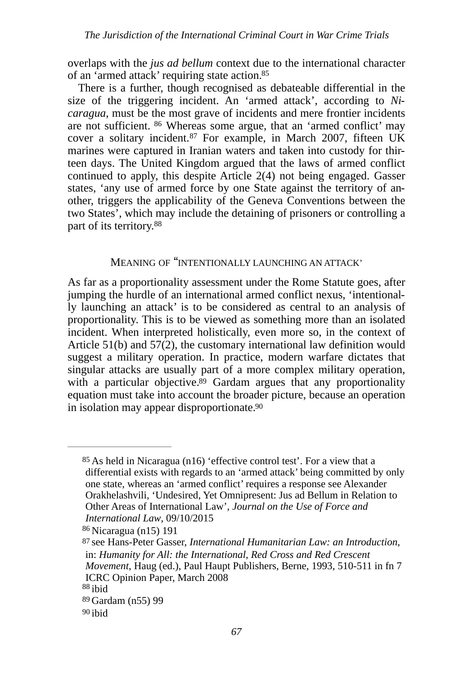overlaps with the *jus ad bellum* context due to the international character of an 'armed attack' requiring state action.<sup>85</sup>

<span id="page-21-8"></span><span id="page-21-7"></span><span id="page-21-6"></span>There is a further, though recognised as debateable differential in the size of the triggering incident. An 'armed attack', according to *Nicaragua*, must be the most grave of incidents and mere frontier incidents are not sufficient.  $86$  Whereas some argue, that an 'armed conflict' may cover a solitary incident.<sup>[87](#page-21-2)</sup> For example, in March 2007, fifteen UK marines were captured in Iranian waters and taken into custody for thirteen days. The United Kingdom argued that the laws of armed conflict continued to apply, this despite Article 2(4) not being engaged. Gasser states, 'any use of armed force by one State against the territory of another, triggers the applicability of the Geneva Conventions between the two States', which may include the detaining of prisoners or controlling a part of its territory. [88](#page-21-3)

## <span id="page-21-9"></span>MEANING OF "INTENTIONALLY LAUNCHING AN ATTACK'

As far as a proportionality assessment under the Rome Statute goes, after jumping the hurdle of an international armed conflict nexus, 'intentionally launching an attack' is to be considered as central to an analysis of proportionality. This is to be viewed as something more than an isolated incident. When interpreted holistically, even more so, in the context of Article 51(b) and 57(2), the customary international law definition would suggest a military operation. In practice, modern warfare dictates that singular attacks are usually part of a more complex military operation, with a particular objective. $89$  Gardam argues that any proportionality equation must take into account the broader picture, because an operation in isolation may appear disproportionate.<sup>90</sup>

<span id="page-21-11"></span><span id="page-21-10"></span><span id="page-21-0"></span> $85$  As held in Nicaragua (n16) 'effective control test'. For a view that a differential exists with regards to an 'armed attack' being committed by only one state, whereas an 'armed conflict' requires a response see Alexander Orakhelashvili, 'Undesired, Yet Omnipresent: Jus ad Bellum in Relation to Other Areas of International Law', *Journal on the Use of Force and International Law*, 09/10/2015

<span id="page-21-1"></span><sup>&</sup>lt;sup>[86](#page-21-7)</sup> Nicaragua (n15) 191

<span id="page-21-2"></span>see Hans-Peter Gasser, *International Humanitarian Law: an Introduction*, [87](#page-21-8) in: *Humanity for All: the International, Red Cross and Red Crescent Movement*, Haug (ed.), Paul Haupt Publishers, Berne, 1993, 510-511 in fn 7 ICRC Opinion Paper, March 2008

<span id="page-21-3"></span> $88$  ibid

<span id="page-21-4"></span>[<sup>89</sup>](#page-21-10) Gardam (n55) 99

<span id="page-21-5"></span>[<sup>90</sup>](#page-21-11) ibid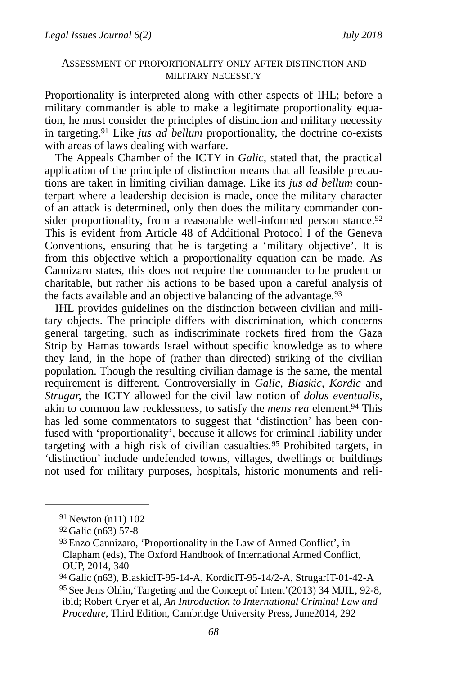#### ASSESSMENT OF PROPORTIONALITY ONLY AFTER DISTINCTION AND MILITARY NECESSITY

Proportionality is interpreted along with other aspects of IHL; before a military commander is able to make a legitimate proportionality equation, he must consider the principles of distinction and military necessity in targeting.<sup>[91](#page-22-0)</sup> Like *jus ad bellum* proportionality, the doctrine co-exists with areas of laws dealing with warfare.

<span id="page-22-6"></span><span id="page-22-5"></span>The Appeals Chamber of the ICTY in *Galic*, stated that, the practical application of the principle of distinction means that all feasible precautions are taken in limiting civilian damage. Like its *jus ad bellum* counterpart where a leadership decision is made, once the military character of an attack is determined, only then does the military commander con-sider proportionality, from a reasonable well-informed person stance.<sup>[92](#page-22-1)</sup> This is evident from Article 48 of Additional Protocol I of the Geneva Conventions, ensuring that he is targeting a 'military objective'. It is from this objective which a proportionality equation can be made. As Cannizaro states, this does not require the commander to be prudent or charitable, but rather his actions to be based upon a careful analysis of the facts available and an objective balancing of the advantage.<sup>[93](#page-22-2)</sup>

<span id="page-22-7"></span>IHL provides guidelines on the distinction between civilian and military objects. The principle differs with discrimination, which concerns general targeting, such as indiscriminate rockets fired from the Gaza Strip by Hamas towards Israel without specific knowledge as to where they land, in the hope of (rather than directed) striking of the civilian population. Though the resulting civilian damage is the same, the mental requirement is different. Controversially in *Galic, Blaskic, Kordic* and *Strugar,* the ICTY allowed for the civil law notion of *dolus eventualis*, akinto common law recklessness, to satisfy the *mens rea* element.<sup>[94](#page-22-3)</sup> This has led some commentators to suggest that 'distinction' has been confused with 'proportionality', because it allows for criminal liability under targetingwith a high risk of civilian casualties.<sup>[95](#page-22-4)</sup> Prohibited targets, in 'distinction' include undefended towns, villages, dwellings or buildings not used for military purposes, hospitals, historic monuments and reli-

<span id="page-22-9"></span><span id="page-22-8"></span><span id="page-22-0"></span> $91$  Newton (n11) 102

<span id="page-22-1"></span>[<sup>92</sup>](#page-22-6) Galic (n63) 57-8

<span id="page-22-2"></span> $93$  Enzo Cannizaro, 'Proportionality in the Law of Armed Conflict', in Clapham (eds), The Oxford Handbook of International Armed Conflict, OUP, 2014, 340

<span id="page-22-3"></span>[<sup>94</sup>](#page-22-8) Galic (n63), BlaskicIT-95-14-A, KordicIT-95-14/2-A, StrugarIT-01-42-A

<span id="page-22-4"></span><sup>&</sup>lt;sup>[95](#page-22-9)</sup> See Jens Ohlin, 'Targeting and the Concept of Intent'(2013) 34 MJIL, 92-8, ibid; Robert Cryer et al, *An Introduction to International Criminal Law and Procedure*, Third Edition, Cambridge University Press, June2014, 292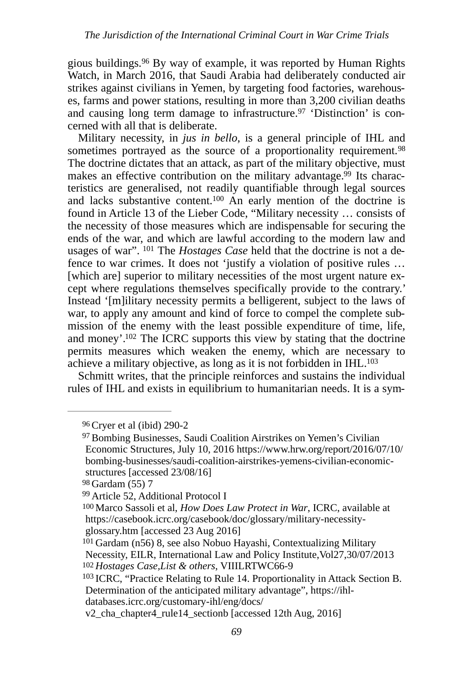<span id="page-23-8"></span>gious buildings. $96$  By way of example, it was reported by Human Rights Watch, in March 2016, that Saudi Arabia had deliberately conducted air strikes against civilians in Yemen, by targeting food factories, warehouses, farms and power stations, resulting in more than 3,200 civilian deaths and causing long term damage to infrastructure.<sup>97</sup> 'Distinction' is concerned with all that is deliberate.

<span id="page-23-13"></span><span id="page-23-12"></span><span id="page-23-11"></span><span id="page-23-10"></span><span id="page-23-9"></span>Military necessity, in *jus in bello*, is a general principle of IHL and sometimes portrayed as the source of a proportionality requirement.<sup>[98](#page-23-2)</sup> The doctrine dictates that an attack, as part of the military objective, must makes an effective contribution on the military advantage[.](#page-23-3)<sup>99</sup> Its characteristics are generalised, not readily quantifiable through legal sources and lacks substantive content[.](#page-23-4)<sup>[100](#page-23-4)</sup> An early mention of the doctrine is found in Article 13 of the Lieber Code, "Military necessity … consists of the necessity of those measures which are indispensable for securing the ends of the war, and which are lawful according to the modern law and usages of war". <sup>101</sup> The *Hostages Case* held that the doctrine is not a defence to war crimes. It does not 'justify a violation of positive rules … [which are] superior to military necessities of the most urgent nature except where regulations themselves specifically provide to the contrary.' Instead '[m]ilitary necessity permits a belligerent, subject to the laws of war, to apply any amount and kind of force to compel the complete submission of the enemy with the least possible expenditure of time, life, and money'[.](#page-23-6)<sup>[102](#page-23-6)</sup> The ICRC supports this view by stating that the doctrine permits measures which weaken the enemy, which are necessary to achieve a military objective, as long as it is not forbidden in IHL[.](#page-23-7) [103](#page-23-7)

<span id="page-23-14"></span>Schmitt writes, that the principle reinforces and sustains the individual rules of IHL and exists in equilibrium to humanitarian needs. It is a sym-

<span id="page-23-15"></span><span id="page-23-0"></span>[<sup>96</sup>](#page-23-8)Cryer et al (ibid) 290-2

<span id="page-23-1"></span><sup>&</sup>lt;sup>[97](#page-23-9)</sup> Bombing Businesses, Saudi Coalition Airstrikes on Yemen's Civilian Economic Structures, July 10, 2016 https://www.hrw.org/report/2016/07/10/ bombing-businesses/saudi-coalition-airstrikes-yemens-civilian-economicstructures [accessed 23/08/16]

<span id="page-23-2"></span>[<sup>98</sup>](#page-23-10) Gardam (55) 7

<span id="page-23-3"></span>[<sup>99</sup>](#page-23-11) Article 52, Additional Protocol I

<span id="page-23-4"></span><sup>&</sup>lt;sup>[100](#page-23-12)</sup> Marco Sassoli et al, *How Does Law Protect in War*, ICRC, available at https://casebook.icrc.org/casebook/doc/glossary/military-necessityglossary.htm [accessed 23 Aug 2016]

<span id="page-23-5"></span> $101$  Gardam (n56) 8, see also Nobuo Hayashi, Contextualizing Military Necessity, EILR, International Law and Policy Institute,Vol27,30/07/2013 *Hostages Case,List & others*, VIIILRTWC66-9 [102](#page-23-14)

<span id="page-23-7"></span><span id="page-23-6"></span> $103$  ICRC, "Practice Relating to Rule 14. Proportionality in Attack Section B. Determination of the anticipated military advantage", https://ihldatabases.icrc.org/customary-ihl/eng/docs/

v2\_cha\_chapter4\_rule14\_sectionb [accessed 12th Aug, 2016]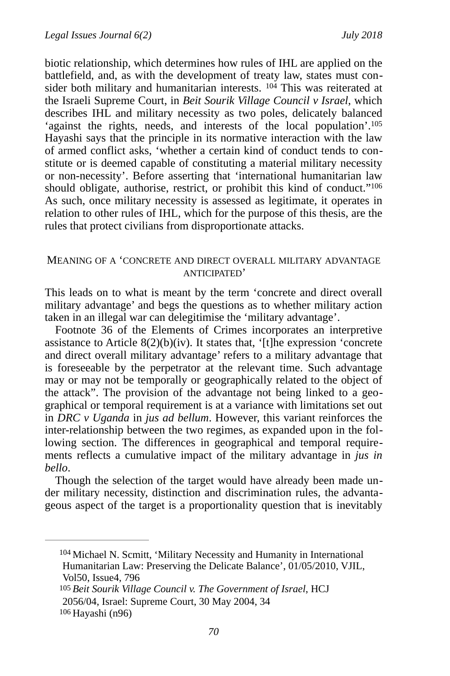<span id="page-24-4"></span><span id="page-24-3"></span>biotic relationship, which determines how rules of IHL are applied on the battlefield, and, as with the development of treaty law, states must consider both military and humanitarian interests.  $104$  This was reiterated at the Israeli Supreme Court, in *Beit Sourik Village Council v Israel*, which describes IHL and military necessity as two poles, delicately balanced 'against the rights, needs, and interests of the local population'.<sup>105</sup> Hayashi says that the principle in its normative interaction with the law of armed conflict asks, 'whether a certain kind of conduct tends to constitute or is deemed capable of constituting a material military necessity or non-necessity'. Before asserting that 'international humanitarian law should obligate, authorise, restrict, or prohibit this kind of conduct.["106](#page-24-2) As such, once military necessity is assessed as legitimate, it operates in relation to other rules of IHL, which for the purpose of this thesis, are the rules that protect civilians from disproportionate attacks.

#### <span id="page-24-5"></span>MEANING OF A 'CONCRETE AND DIRECT OVERALL MILITARY ADVANTAGE ANTICIPATED'

This leads on to what is meant by the term 'concrete and direct overall military advantage' and begs the questions as to whether military action taken in an illegal war can delegitimise the 'military advantage'.

Footnote 36 of the Elements of Crimes incorporates an interpretive assistance to Article 8(2)(b)(iv). It states that, '[t]he expression 'concrete and direct overall military advantage' refers to a military advantage that is foreseeable by the perpetrator at the relevant time. Such advantage may or may not be temporally or geographically related to the object of the attack". The provision of the advantage not being linked to a geographical or temporal requirement is at a variance with limitations set out in *DRC v Uganda* in *jus ad bellum*. However, this variant reinforces the inter-relationship between the two regimes, as expanded upon in the following section. The differences in geographical and temporal requirements reflects a cumulative impact of the military advantage in *jus in bello*.

Though the selection of the target would have already been made under military necessity, distinction and discrimination rules, the advantageous aspect of the target is a proportionality question that is inevitably

<span id="page-24-0"></span> $104$  Michael N. Scmitt, 'Military Necessity and Humanity in International Humanitarian Law: Preserving the Delicate Balance', 01/05/2010, VJIL, Vol50, Issue4, 796

<span id="page-24-2"></span><span id="page-24-1"></span>*Beit Sourik Village Council v. The Government of Israel*, HCJ [105](#page-24-4) 2056/04, Israel: Supreme Court, 30 May 2004, 34 [106](#page-24-5) Hayashi (n96)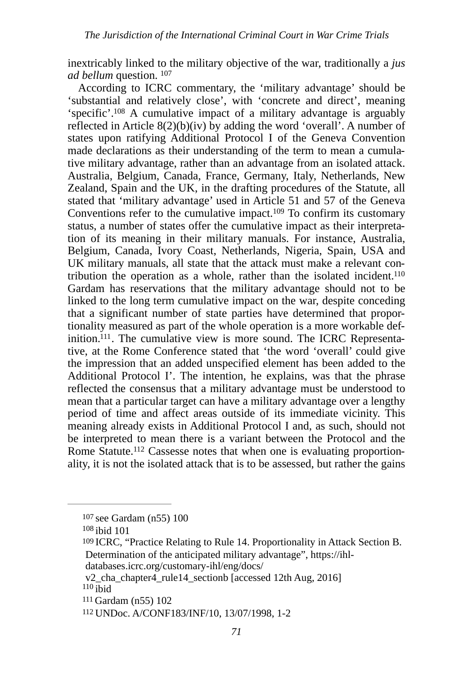inextricably linked to the military objective of the war, traditionally a *jus ad bellum* question. [107](#page-25-0)

<span id="page-25-9"></span><span id="page-25-8"></span><span id="page-25-7"></span><span id="page-25-6"></span>According to ICRC commentary, the 'military advantage' should be 'substantial and relatively close', with 'concrete and direct', meaning 'specific'[.](#page-25-1)<sup>[108](#page-25-1)</sup> A cumulative impact of a military advantage is arguably reflected in Article 8(2)(b)(iv) by adding the word 'overall'. A number of states upon ratifying Additional Protocol I of the Geneva Convention made declarations as their understanding of the term to mean a cumulative military advantage, rather than an advantage from an isolated attack. Australia, Belgium, Canada, France, Germany, Italy, Netherlands, New Zealand, Spain and the UK, in the drafting procedures of the Statute, all stated that 'military advantage' used in Article 51 and 57 of the Geneva Conventions refer to the cumulative impact[.](#page-25-2)<sup>[109](#page-25-2)</sup> To confirm its customary status, a number of states offer the cumulative impact as their interpretation of its meaning in their military manuals. For instance, Australia, Belgium, Canada, Ivory Coast, Netherlands, Nigeria, Spain, USA and UK military manuals, all state that the attack must make a relevant contribution the operation as a whole, rather than the isolated incident.<sup>110</sup> Gardam has reservations that the military advantage should not to be linked to the long term cumulative impact on the war, despite conceding that a significant number of state parties have determined that proportionality measured as part of the whole operation is a more workable def-inition.<sup>[111](#page-25-4)</sup>. The cumulative view is more sound. The ICRC Representative, at the Rome Conference stated that 'the word 'overall' could give the impression that an added unspecified element has been added to the Additional Protocol I'. The intention, he explains, was that the phrase reflected the consensus that a military advantage must be understood to mean that a particular target can have a military advantage over a lengthy period of time and affect areas outside of its immediate vicinity. This meaning already exists in Additional Protocol I and, as such, should not be interpreted to mean there is a variant between the Protocol and the Rome Statute.<sup>112</sup> Cassesse notes that when one is evaluating proportionality, it is not the isolated attack that is to be assessed, but rather the gains

<span id="page-25-11"></span><span id="page-25-10"></span><span id="page-25-0"></span>[<sup>107</sup>](#page-25-6) see Gardam (n55) 100

<span id="page-25-1"></span> $108$  ibid 101

<span id="page-25-2"></span><sup>&</sup>lt;sup>[109](#page-25-8)</sup> ICRC, "Practice Relating to Rule 14. Proportionality in Attack Section B. Determination of the anticipated military advantage", https://ihl-

databases.icrc.org/customary-ihl/eng/docs/

<span id="page-25-3"></span>v2\_cha\_chapter4\_rule14\_sectionb [accessed 12th Aug, 2016]  $110$  ibid

<span id="page-25-4"></span>[<sup>111</sup>](#page-25-10) Gardam (n55) 102

<span id="page-25-5"></span>[<sup>112</sup>](#page-25-11) UNDoc. A/CONF183/INF/10, 13/07/1998, 1-2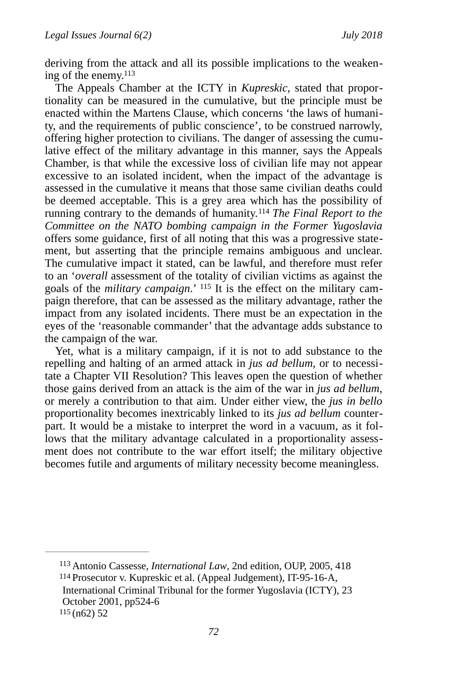<span id="page-26-3"></span>deriving from the attack and all its possible implications to the weakening of the enemy[. 113](#page-26-0)

<span id="page-26-4"></span>The Appeals Chamber at the ICTY in *Kupreskic*, stated that proportionality can be measured in the cumulative, but the principle must be enacted within the Martens Clause, which concerns 'the laws of humanity, and the requirements of public conscience', to be construed narrowly, offering higher protection to civilians. The danger of assessing the cumulative effect of the military advantage in this manner, says the Appeals Chamber, is that while the excessive loss of civilian life may not appear excessive to an isolated incident, when the impact of the advantage is assessed in the cumulative it means that those same civilian deaths could be deemed acceptable. This is a grey area which has the possibility of running contrary to the demands of humanity.<sup>[114](#page-26-1)</sup> The Final Report to the *Committee on the NATO bombing campaign in the Former Yugoslavia*  offers some guidance, first of all noting that this was a progressive statement, but asserting that the principle remains ambiguous and unclear. The cumulative impact it stated, can be lawful, and therefore must refer to an '*overall* assessment of the totality of civilian victims as against the goals of the *military campaign*.' [115](#page-26-2) It is the effect on the military campaign therefore, that can be assessed as the military advantage, rather the impact from any isolated incidents. There must be an expectation in the eyes of the 'reasonable commander' that the advantage adds substance to the campaign of the war.

<span id="page-26-5"></span>Yet, what is a military campaign, if it is not to add substance to the repelling and halting of an armed attack in *jus ad bellum*, or to necessitate a Chapter VII Resolution? This leaves open the question of whether those gains derived from an attack is the aim of the war in *jus ad bellum*, or merely a contribution to that aim. Under either view, the *jus in bello* proportionality becomes inextricably linked to its *jus ad bellum* counterpart. It would be a mistake to interpret the word in a vacuum, as it follows that the military advantage calculated in a proportionality assessment does not contribute to the war effort itself; the military objective becomes futile and arguments of military necessity become meaningless.

<span id="page-26-2"></span><span id="page-26-1"></span><span id="page-26-0"></span><sup>[113](#page-26-3)</sup> Antonio Cassesse, *International Law*, 2nd edition, OUP, 2005, 418 [114](#page-26-4) Prosecutor v. Kupreskic et al. (Appeal Judgement), IT-95-16-A, International Criminal Tribunal for the former Yugoslavia (ICTY), 23 October 2001, pp524-6 [115](#page-26-5) (n62) 52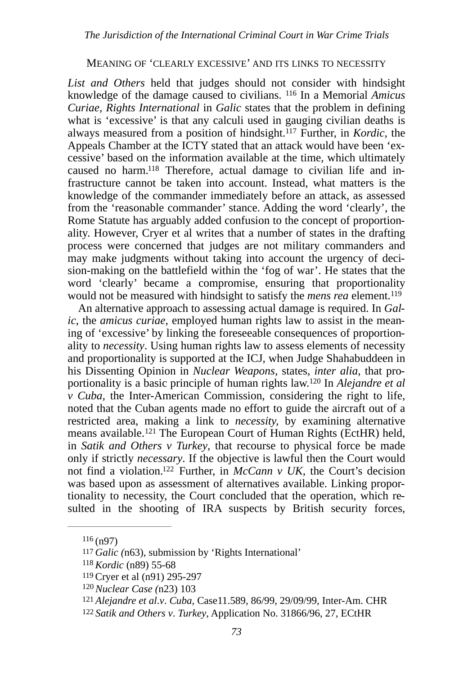#### <span id="page-27-8"></span><span id="page-27-7"></span>MEANING OF 'CLEARLY EXCESSIVE' AND ITS LINKS TO NECESSITY

<span id="page-27-9"></span>*List and Others* held that judges should not consider with hindsight knowledgeof the damage caused to civilians. <sup>116</sup> In a Memorial Amicus *Curiae, Rights International* in *Galic* states that the problem in defining what is 'excessive' is that any calculi used in gauging civilian deaths is always measured from a position of hindsight.<sup>[117](#page-27-1)</sup> Further, in *Kordic*, the Appeals Chamber at the ICTY stated that an attack would have been 'excessive' based on the information available at the time, which ultimately caused no harm[.](#page-27-2)<sup>118</sup> Therefore, actual damage to civilian life and infrastructure cannot be taken into account. Instead, what matters is the knowledge of the commander immediately before an attack, as assessed from the 'reasonable commander' stance. Adding the word 'clearly', the Rome Statute has arguably added confusion to the concept of proportionality. However, Cryer et al writes that a number of states in the drafting process were concerned that judges are not military commanders and may make judgments without taking into account the urgency of decision-making on the battlefield within the 'fog of war'. He states that the word 'clearly' became a compromise, ensuring that proportionality would not be measured with hindsight to satisfy the *mens rea* element.[119](#page-27-3)

<span id="page-27-11"></span><span id="page-27-10"></span>An alternative approach to assessing actual damage is required. In *Galic*, the *amicus curiae,* employed human rights law to assist in the meaning of 'excessive' by linking the foreseeable consequences of proportionality to *necessity*. Using human rights law to assess elements of necessity and proportionality is supported at the ICJ, when Judge Shahabuddeen in his Dissenting Opinion in *Nuclear Weapons*, states, *inter alia,* that pro-portionality is a basic principle of human rights law[.](#page-27-4)<sup>120</sup> In *Alejandre et al v Cuba,* the Inter-American Commission, considering the right to life, noted that the Cuban agents made no effort to guide the aircraft out of a restricted area, making a link to *necessity,* by examining alternative meansavailable.<sup>[121](#page-27-5)</sup> The European Court of Human Rights (EctHR) held, in *Satik and Others v Turkey*, that recourse to physical force be made only if strictly *necessary*. If the objective is lawful then the Court would not find a violation.<sup>[122](#page-27-6)</sup> Further, in *McCann v UK*, the Court's decision was based upon as assessment of alternatives available. Linking proportionality to necessity, the Court concluded that the operation, which resulted in the shooting of IRA suspects by British security forces,

<span id="page-27-13"></span><span id="page-27-12"></span><span id="page-27-0"></span> $116($  $116($ n97)

<span id="page-27-1"></span>*Galic (*n63), submission by 'Rights International' [117](#page-27-8)

<span id="page-27-2"></span><sup>&</sup>lt;sup>[118](#page-27-9)</sup> Kordic (n89) 55-68

<span id="page-27-3"></span>[<sup>119</sup>](#page-27-10)Cryer et al (n91) 295-297

<span id="page-27-4"></span><sup>&</sup>lt;sup>[120](#page-27-11)</sup> Nuclear Case (n23) 103

<span id="page-27-5"></span>[<sup>121</sup>](#page-27-12) *Alejandre et al*.*v*. *Cuba*, Case11.589, 86/99, 29/09/99, Inter-Am. CHR

<span id="page-27-6"></span>[<sup>122</sup>](#page-27-13) *Satik and Others v*. *Turkey*, Application No. 31866/96, 27, ECtHR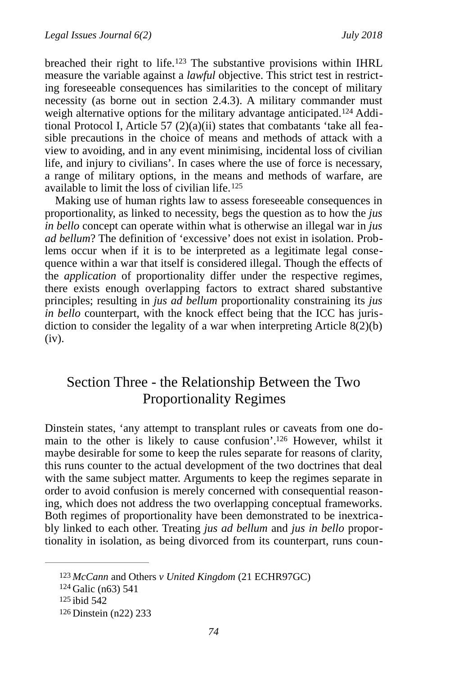<span id="page-28-5"></span><span id="page-28-4"></span>breachedtheir right to life.<sup>[123](#page-28-0)</sup> The substantive provisions within IHRL measure the variable against a *lawful* objective. This strict test in restricting foreseeable consequences has similarities to the concept of military necessity (as borne out in section 2.4.3). A military commander must weighalternative options for the military advantage anticipated.<sup>124</sup> Additional Protocol I, Article 57 (2)(a)(ii) states that combatants 'take all feasible precautions in the choice of means and methods of attack with a view to avoiding, and in any event minimising, incidental loss of civilian life, and injury to civilians'. In cases where the use of force is necessary, a range of military options, in the means and methods of warfare, are available to limit the loss of civilian life. [125](#page-28-2)

<span id="page-28-6"></span>Making use of human rights law to assess foreseeable consequences in proportionality, as linked to necessity, begs the question as to how the *jus in bello* concept can operate within what is otherwise an illegal war in *jus ad bellum*? The definition of 'excessive' does not exist in isolation. Problems occur when if it is to be interpreted as a legitimate legal consequence within a war that itself is considered illegal. Though the effects of the *application* of proportionality differ under the respective regimes, there exists enough overlapping factors to extract shared substantive principles; resulting in *jus ad bellum* proportionality constraining its *jus in bello* counterpart, with the knock effect being that the ICC has jurisdiction to consider the legality of a war when interpreting Article  $8(2)(b)$ (iv).

# <span id="page-28-7"></span>Section Three - the Relationship Between the Two Proportionality Regimes

Dinstein states, 'any attempt to transplant rules or caveats from one do-main to the other is likely to cause confusion'[.](#page-28-3)<sup>[126](#page-28-3)</sup> However, whilst it maybe desirable for some to keep the rules separate for reasons of clarity, this runs counter to the actual development of the two doctrines that deal with the same subject matter. Arguments to keep the regimes separate in order to avoid confusion is merely concerned with consequential reasoning, which does not address the two overlapping conceptual frameworks. Both regimes of proportionality have been demonstrated to be inextricably linked to each other. Treating *jus ad bellum* and *jus in bello* proportionality in isolation, as being divorced from its counterpart, runs coun-

<span id="page-28-3"></span><span id="page-28-2"></span><span id="page-28-1"></span><span id="page-28-0"></span>[<sup>123</sup>](#page-28-4) McCann and Others *v United Kingdom* (21 ECHR97GC)  $124$  Galic (n63) 541 [125](#page-28-6) ibid 542 [126](#page-28-7) Dinstein (n22) 233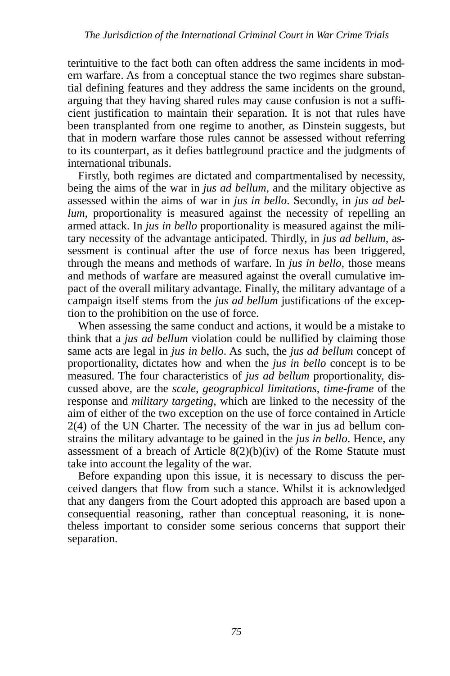terintuitive to the fact both can often address the same incidents in modern warfare. As from a conceptual stance the two regimes share substantial defining features and they address the same incidents on the ground, arguing that they having shared rules may cause confusion is not a sufficient justification to maintain their separation. It is not that rules have been transplanted from one regime to another, as Dinstein suggests, but that in modern warfare those rules cannot be assessed without referring to its counterpart, as it defies battleground practice and the judgments of international tribunals.

Firstly, both regimes are dictated and compartmentalised by necessity, being the aims of the war in *jus ad bellum*, and the military objective as assessed within the aims of war in *jus in bello*. Secondly, in *jus ad bellum,* proportionality is measured against the necessity of repelling an armed attack. In *jus in bello* proportionality is measured against the military necessity of the advantage anticipated. Thirdly, in *jus ad bellum*, assessment is continual after the use of force nexus has been triggered, through the means and methods of warfare. In *jus in bello*, those means and methods of warfare are measured against the overall cumulative impact of the overall military advantage*.* Finally, the military advantage of a campaign itself stems from the *jus ad bellum* justifications of the exception to the prohibition on the use of force.

When assessing the same conduct and actions, it would be a mistake to think that a *jus ad bellum* violation could be nullified by claiming those same acts are legal in *jus in bello*. As such, the *jus ad bellum* concept of proportionality, dictates how and when the *jus in bello* concept is to be measured. The four characteristics of *jus ad bellum* proportionality, discussed above, are the *scale*, *geographical limitations*, *time-frame* of the response and *military targeting*, which are linked to the necessity of the aim of either of the two exception on the use of force contained in Article 2(4) of the UN Charter. The necessity of the war in jus ad bellum constrains the military advantage to be gained in the *jus in bello*. Hence, any assessment of a breach of Article  $8(2)(b)(iv)$  of the Rome Statute must take into account the legality of the war.

Before expanding upon this issue, it is necessary to discuss the perceived dangers that flow from such a stance. Whilst it is acknowledged that any dangers from the Court adopted this approach are based upon a consequential reasoning, rather than conceptual reasoning, it is nonetheless important to consider some serious concerns that support their separation.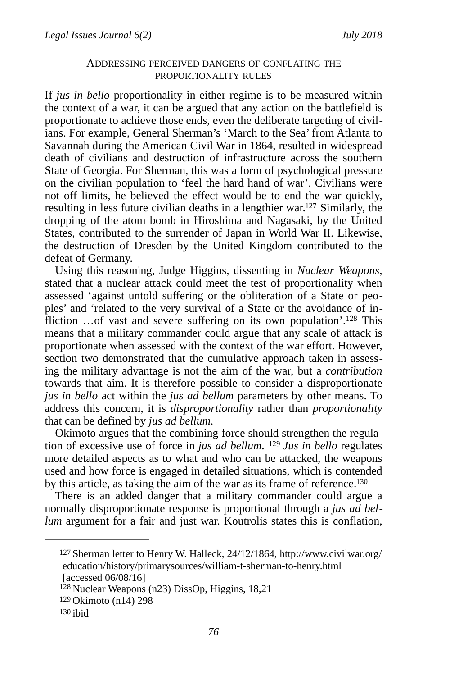#### <span id="page-30-4"></span>ADDRESSING PERCEIVED DANGERS OF CONFLATING THE PROPORTIONALITY RULES

If *jus in bello* proportionality in either regime is to be measured within the context of a war, it can be argued that any action on the battlefield is proportionate to achieve those ends, even the deliberate targeting of civilians. For example, General Sherman's 'March to the Sea' from Atlanta to Savannah during the American Civil War in 1864, resulted in widespread death of civilians and destruction of infrastructure across the southern State of Georgia. For Sherman, this was a form of psychological pressure on the civilian population to 'feel the hard hand of war'. Civilians were not off limits, he believed the effect would be to end the war quickly, resulting in less future civilian deaths in a lengthier war. $127$  Similarly, the dropping of the atom bomb in Hiroshima and Nagasaki, by the United States, contributed to the surrender of Japan in World War II. Likewise, the destruction of Dresden by the United Kingdom contributed to the defeat of Germany.

<span id="page-30-5"></span>Using this reasoning, Judge Higgins, dissenting in *Nuclear Weapons*, stated that a nuclear attack could meet the test of proportionality when assessed 'against untold suffering or the obliteration of a State or peoples' and 'related to the very survival of a State or the avoidance of in-fliction [.](#page-30-1).. of vast and severe suffering on its own population'.<sup>[128](#page-30-1)</sup> This means that a military commander could argue that any scale of attack is proportionate when assessed with the context of the war effort. However, section two demonstrated that the cumulative approach taken in assessing the military advantage is not the aim of the war, but a *contribution* towards that aim. It is therefore possible to consider a disproportionate *jus in bello* act within the *jus ad bellum* parameters by other means. To address this concern, it is *disproportionality* rather than *proportionality* that can be defined by *jus ad bellum*.

<span id="page-30-6"></span>Okimoto argues that the combining force should strengthen the regulation of excessive use of force in *jus ad bellum*. <sup>[129](#page-30-2)</sup> Jus in bello regulates more detailed aspects as to what and who can be attacked, the weapons used and how force is engaged in detailed situations, which is contended by this article, as taking the aim of the war as its frame of reference.<sup>130</sup>

There is an added danger that a military commander could argue a normally disproportionate response is proportional through a *jus ad bellum* argument for a fair and just war. Koutrolis states this is conflation,

<span id="page-30-7"></span><span id="page-30-0"></span>Sherman letter to Henry W. Halleck, 24/12/1864, http://www.civilwar.org/ [127](#page-30-4) education/history/primarysources/william-t-sherman-to-henry.html [accessed 06/08/16]

<span id="page-30-1"></span> $128$  Nuclear Weapons (n23) DissOp, Higgins, 18,21

<span id="page-30-2"></span>[<sup>129</sup>](#page-30-6) Okimoto (n14) 298

<span id="page-30-3"></span>[<sup>130</sup>](#page-30-7) ibid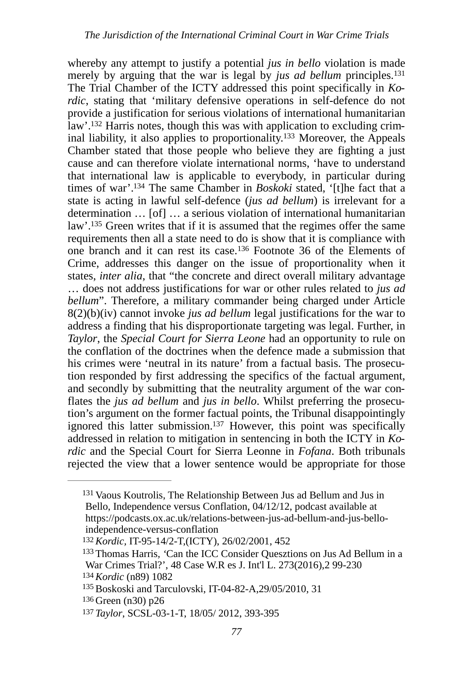<span id="page-31-12"></span><span id="page-31-11"></span><span id="page-31-10"></span><span id="page-31-9"></span><span id="page-31-8"></span><span id="page-31-7"></span>whereby any attempt to justify a potential *jus in bello* violation is made merely by arguing that the war is legal by *jus ad bellum* principles[.131](#page-31-0) The Trial Chamber of the ICTY addressed this point specifically in *Kordic*, stating that 'military defensive operations in self-defence do not provide a justification for serious violations of international humanitarian law'[.132](#page-31-1) Harris notes, though this was with application to excluding crim-inal liability, it also applies to proportionality[.](#page-31-2)<sup>[133](#page-31-2)</sup> Moreover, the Appeals Chamber stated that those people who believe they are fighting a just cause and can therefore violate international norms, 'have to understand that international law is applicable to everybody, in particular during times of war'.<sup>[134](#page-31-3)</sup> The same Chamber in *Boskoki* stated, '[t]he fact that a state is acting in lawful self-defence (*jus ad bellum*) is irrelevant for a determination … [of] … a serious violation of international humanitarian law'[.](#page-31-4)<sup>[135](#page-31-4)</sup> Green writes that if it is assumed that the regimes offer the same requirements then all a state need to do is show that it is compliance with onebranch and it can rest its case.<sup>[136](#page-31-5)</sup> Footnote 36 of the Elements of Crime, addresses this danger on the issue of proportionality when it states, *inter alia*, that "the concrete and direct overall military advantage … does not address justifications for war or other rules related to *jus ad bellum*". Therefore, a military commander being charged under Article 8(2)(b)(iv) cannot invoke *jus ad bellum* legal justifications for the war to address a finding that his disproportionate targeting was legal. Further, in *Taylor*, the *Special Court for Sierra Leone* had an opportunity to rule on the conflation of the doctrines when the defence made a submission that his crimes were 'neutral in its nature' from a factual basis. The prosecution responded by first addressing the specifics of the factual argument, and secondly by submitting that the neutrality argument of the war conflates the *jus ad bellum* and *jus in bello*. Whilst preferring the prosecution's argument on the former factual points, the Tribunal disappointingly ignored this latter submission[.](#page-31-6)<sup>[137](#page-31-6)</sup> However, this point was specifically addressed in relation to mitigation in sentencing in both the ICTY in *Kordic* and the Special Court for Sierra Leonne in *Fofana*. Both tribunals rejected the view that a lower sentence would be appropriate for those

<span id="page-31-13"></span><span id="page-31-0"></span> $131$  Vaous Koutrolis, The Relationship Between Jus ad Bellum and Jus in Bello, Independence versus Conflation, 04/12/12, podcast available at https://podcasts.ox.ac.uk/relations-between-jus-ad-bellum-and-jus-belloindependence-versus-conflation

<span id="page-31-1"></span>[<sup>132</sup>](#page-31-8)*Kordic,* IT-95-14/2-T,(ICTY), 26/02/2001, 452

<span id="page-31-2"></span><sup>&</sup>lt;sup>[133](#page-31-9)</sup> Thomas Harris, 'Can the ICC Consider Quesztions on Jus Ad Bellum in a War Crimes Trial?', 48 Case W.R es J. Int'l L. 273(2016),2 99-230 [134](#page-31-10)*Kordic* (n89) 1082

<span id="page-31-4"></span><span id="page-31-3"></span><sup>&</sup>lt;sup>[135](#page-31-11)</sup> Boskoski and Tarculovski, IT-04-82-A,29/05/2010, 31

<span id="page-31-5"></span>[<sup>136</sup>](#page-31-12) Green (n30) p26

<span id="page-31-6"></span>[<sup>137</sup>](#page-31-13) *Taylor*, SCSL-03-1-T, 18/05/ 2012, 393-395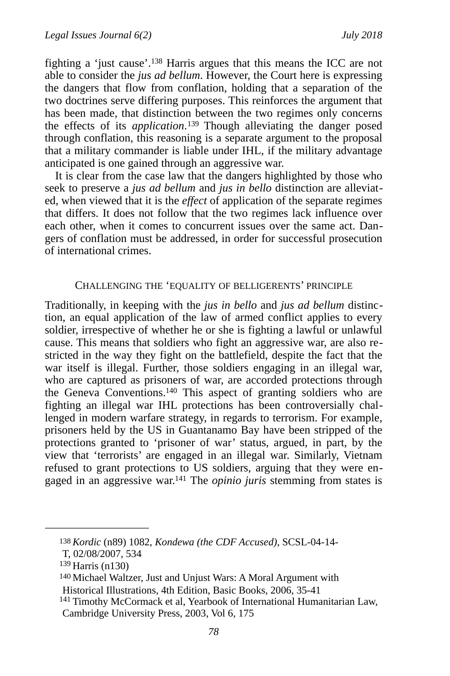<span id="page-32-4"></span>fightinga 'just cause'.<sup>[138](#page-32-0)</sup> Harris argues that this means the ICC are not able to consider the *jus ad bellum*. However, the Court here is expressing the dangers that flow from conflation, holding that a separation of the two doctrines serve differing purposes. This reinforces the argument that has been made, that distinction between the two regimes only concerns theeffects of its *application*.<sup>[139](#page-32-1)</sup> Though alleviating the danger posed through conflation, this reasoning is a separate argument to the proposal that a military commander is liable under IHL, if the military advantage anticipated is one gained through an aggressive war.

<span id="page-32-5"></span>It is clear from the case law that the dangers highlighted by those who seek to preserve a *jus ad bellum* and *jus in bello* distinction are alleviated, when viewed that it is the *effect* of application of the separate regimes that differs. It does not follow that the two regimes lack influence over each other, when it comes to concurrent issues over the same act. Dangers of conflation must be addressed, in order for successful prosecution of international crimes.

#### <span id="page-32-6"></span>CHALLENGING THE 'EQUALITY OF BELLIGERENTS' PRINCIPLE

Traditionally, in keeping with the *jus in bello* and *jus ad bellum* distinction, an equal application of the law of armed conflict applies to every soldier, irrespective of whether he or she is fighting a lawful or unlawful cause. This means that soldiers who fight an aggressive war, are also restricted in the way they fight on the battlefield, despite the fact that the war itself is illegal. Further, those soldiers engaging in an illegal war, who are captured as prisoners of war, are accorded protections through the Geneva Conventions[.](#page-32-2)<sup>[140](#page-32-2)</sup> This aspect of granting soldiers who are fighting an illegal war IHL protections has been controversially challenged in modern warfare strategy, in regards to terrorism. For example, prisoners held by the US in Guantanamo Bay have been stripped of the protections granted to 'prisoner of war' status, argued, in part, by the view that 'terrorists' are engaged in an illegal war. Similarly, Vietnam refused to grant protections to US soldiers, arguing that they were en-gaged in an aggressive war.<sup>[141](#page-32-3)</sup> The *opinio juris* stemming from states is

<span id="page-32-7"></span><span id="page-32-0"></span>*Kordic* (n89) 1082, *Kondewa (the CDF Accused)*, SCSL-04-14- [138](#page-32-4)

T, 02/08/2007, 534

<span id="page-32-1"></span> $139$  Harris (n130)

<span id="page-32-2"></span>[<sup>140</sup>](#page-32-6) Michael Waltzer, Just and Unjust Wars: A Moral Argument with Historical Illustrations, 4th Edition, Basic Books, 2006, 35-41

<span id="page-32-3"></span><sup>&</sup>lt;sup>[141](#page-32-7)</sup> Timothy McCormack et al, Yearbook of International Humanitarian Law, Cambridge University Press, 2003, Vol 6, 175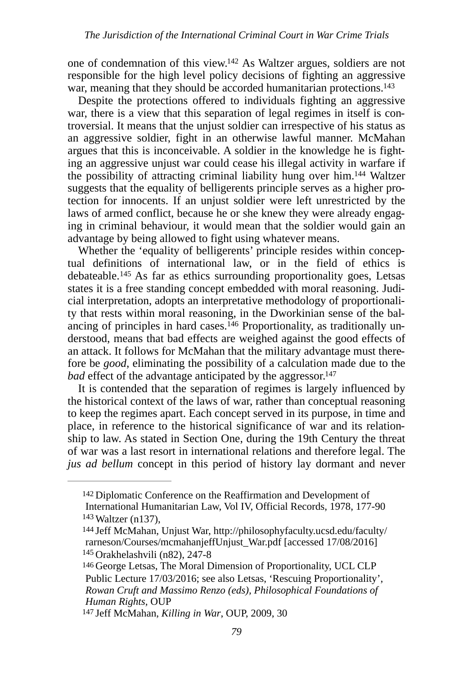<span id="page-33-6"></span>one of condemnation of this view[.](#page-33-0) $142$  As Waltzer argues, soldiers are not responsible for the high level policy decisions of fighting an aggressive war, meaning that they should be accorded humanitarian protections[.](#page-33-1)<sup>[143](#page-33-1)</sup>

<span id="page-33-7"></span>Despite the protections offered to individuals fighting an aggressive war, there is a view that this separation of legal regimes in itself is controversial. It means that the unjust soldier can irrespective of his status as an aggressive soldier, fight in an otherwise lawful manner. McMahan argues that this is inconceivable. A soldier in the knowledge he is fighting an aggressive unjust war could cease his illegal activity in warfare if the possibility of attracting criminal liability hung over him[.](#page-33-2)<sup>[144](#page-33-2)</sup> Waltzer suggests that the equality of belligerents principle serves as a higher protection for innocents. If an unjust soldier were left unrestricted by the laws of armed conflict, because he or she knew they were already engaging in criminal behaviour, it would mean that the soldier would gain an advantage by being allowed to fight using whatever means.

<span id="page-33-9"></span><span id="page-33-8"></span>Whether the 'equality of belligerents' principle resides within conceptual definitions of international law, or in the field of ethics is  $debateable.<sup>145</sup>$  $debateable.<sup>145</sup>$  $debateable.<sup>145</sup>$ As far as ethics surrounding proportionality goes, Letsas states it is a free standing concept embedded with moral reasoning. Judicial interpretation, adopts an interpretative methodology of proportionality that rests within moral reasoning, in the Dworkinian sense of the bal-ancing of principles in hard cases[.](#page-33-4)<sup>146</sup> Proportionality, as traditionally understood, means that bad effects are weighed against the good effects of an attack. It follows for McMahan that the military advantage must therefore be *good*, eliminating the possibility of a calculation made due to the *bad* effect of the advantage anticipated by the aggressor.<sup>147</sup>

<span id="page-33-11"></span><span id="page-33-10"></span>It is contended that the separation of regimes is largely influenced by the historical context of the laws of war, rather than conceptual reasoning to keep the regimes apart. Each concept served in its purpose, in time and place, in reference to the historical significance of war and its relationship to law. As stated in Section One, during the 19th Century the threat of war was a last resort in international relations and therefore legal. The *jus ad bellum* concept in this period of history lay dormant and never

<span id="page-33-0"></span><sup>&</sup>lt;sup>[142](#page-33-6)</sup> Diplomatic Conference on the Reaffirmation and Development of International Humanitarian Law, Vol IV, Official Records, 1978, 177-90  $143$  Waltzer (n137),

<span id="page-33-2"></span><span id="page-33-1"></span>[<sup>144</sup>](#page-33-8) Jeff McMahan, Unjust War, http://philosophyfaculty.ucsd.edu/faculty/ rarneson/Courses/mcmahanjeffUnjust\_War.pdf [accessed 17/08/2016] [145](#page-33-9) Orakhelashvili (n82), 247-8

<span id="page-33-4"></span><span id="page-33-3"></span>[<sup>146</sup>](#page-33-10) George Letsas, The Moral Dimension of Proportionality, UCL CLP Public Lecture 17/03/2016; see also Letsas, 'Rescuing Proportionality', *Rowan Cruft and Massimo Renzo (eds), Philosophical Foundations of Human Rights,* OUP

<span id="page-33-5"></span>[<sup>147</sup>](#page-33-11) Jeff McMahan, *Killing in War*, OUP, 2009, 30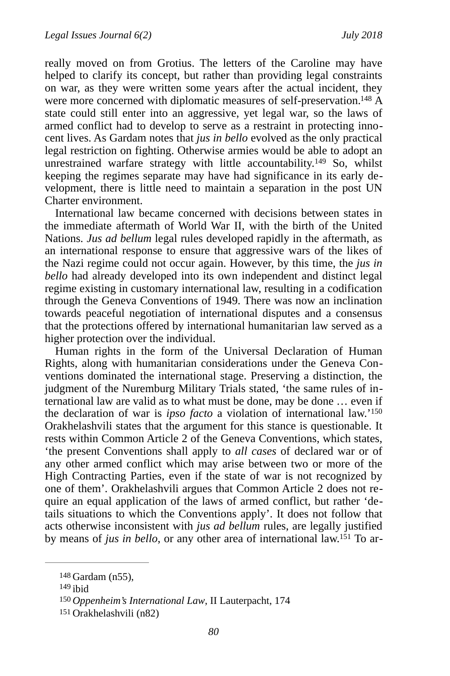<span id="page-34-4"></span>really moved on from Grotius. The letters of the Caroline may have helped to clarify its concept, but rather than providing legal constraints on war, as they were written some years after the actual incident, they were more concerned with diplomatic measures of self-preservation.<sup>[148](#page-34-0)</sup>  $\AA$ state could still enter into an aggressive, yet legal war, so the laws of armed conflict had to develop to serve as a restraint in protecting innocent lives. As Gardam notes that *jus in bello* evolved as the only practical legal restriction on fighting. Otherwise armies would be able to adopt an unrestrainedwarfare strategy with little accountability.<sup>[149](#page-34-1)</sup> So, whilst keeping the regimes separate may have had significance in its early development, there is little need to maintain a separation in the post UN Charter environment.

<span id="page-34-5"></span>International law became concerned with decisions between states in the immediate aftermath of World War II, with the birth of the United Nations. *Jus ad bellum* legal rules developed rapidly in the aftermath, as an international response to ensure that aggressive wars of the likes of the Nazi regime could not occur again. However, by this time, the *jus in bello* had already developed into its own independent and distinct legal regime existing in customary international law, resulting in a codification through the Geneva Conventions of 1949. There was now an inclination towards peaceful negotiation of international disputes and a consensus that the protections offered by international humanitarian law served as a higher protection over the individual.

<span id="page-34-6"></span>Human rights in the form of the Universal Declaration of Human Rights, along with humanitarian considerations under the Geneva Conventions dominated the international stage. Preserving a distinction, the judgment of the Nuremburg Military Trials stated, 'the same rules of international law are valid as to what must be done, may be done … even if the declaration of war is *ipso facto* a violation of international law.['150](#page-34-2) Orakhelashvili states that the argument for this stance is questionable. It rests within Common Article 2 of the Geneva Conventions, which states, 'the present Conventions shall apply to *all cases* of declared war or of any other armed conflict which may arise between two or more of the High Contracting Parties, even if the state of war is not recognized by one of them'. Orakhelashvili argues that Common Article 2 does not require an equal application of the laws of armed conflict, but rather 'details situations to which the Conventions apply'. It does not follow that acts otherwise inconsistent with *jus ad bellum* rules, are legally justified by means of *jus in bello*, or any other area of international law[.](#page-34-3)<sup>151</sup> To ar-

<span id="page-34-7"></span><span id="page-34-0"></span>[<sup>148</sup>](#page-34-4) Gardam (n55),

<span id="page-34-1"></span> $149$  ibid

<span id="page-34-2"></span>[<sup>150</sup>](#page-34-6) *Oppenheim's International Law*, II Lauterpacht, 174

<span id="page-34-3"></span>Orakhelashvili (n82) [151](#page-34-7)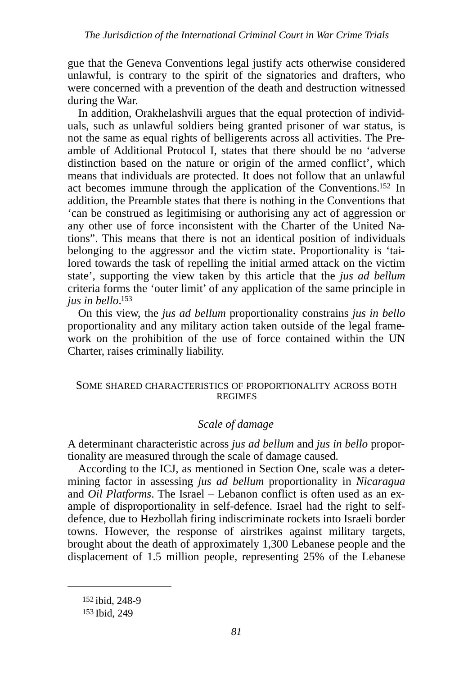gue that the Geneva Conventions legal justify acts otherwise considered unlawful, is contrary to the spirit of the signatories and drafters, who were concerned with a prevention of the death and destruction witnessed during the War.

In addition, Orakhelashvili argues that the equal protection of individuals, such as unlawful soldiers being granted prisoner of war status, is not the same as equal rights of belligerents across all activities. The Preamble of Additional Protocol I, states that there should be no 'adverse distinction based on the nature or origin of the armed conflict', which means that individuals are protected. It does not follow that an unlawful act becomes immune through the application of the Conventions[.](#page-35-0)<sup>[152](#page-35-0)</sup> In addition, the Preamble states that there is nothing in the Conventions that 'can be construed as legitimising or authorising any act of aggression or any other use of force inconsistent with the Charter of the United Nations". This means that there is not an identical position of individuals belonging to the aggressor and the victim state. Proportionality is 'tailored towards the task of repelling the initial armed attack on the victim state', supporting the view taken by this article that the *jus ad bellum* criteria forms the 'outer limit' of any application of the same principle in ius in bello[.](#page-35-1)<sup>[153](#page-35-1)</sup>

<span id="page-35-3"></span>On this view, the *jus ad bellum* proportionality constrains *jus in bello* proportionality and any military action taken outside of the legal framework on the prohibition of the use of force contained within the UN Charter, raises criminally liability.

#### SOME SHARED CHARACTERISTICS OF PROPORTIONALITY ACROSS BOTH REGIMES

#### <span id="page-35-2"></span>*Scale of damage*

A determinant characteristic across *jus ad bellum* and *jus in bello* proportionality are measured through the scale of damage caused.

According to the ICJ, as mentioned in Section One, scale was a determining factor in assessing *jus ad bellum* proportionality in *Nicaragua* and *Oil Platforms*. The Israel – Lebanon conflict is often used as an example of disproportionality in self-defence. Israel had the right to selfdefence, due to Hezbollah firing indiscriminate rockets into Israeli border towns. However, the response of airstrikes against military targets, brought about the death of approximately 1,300 Lebanese people and the displacement of 1.5 million people, representing 25% of the Lebanese

<span id="page-35-0"></span>[152](#page-35-2) ibid, 248-9

<span id="page-35-1"></span>[<sup>153</sup>](#page-35-3) Ibid, 249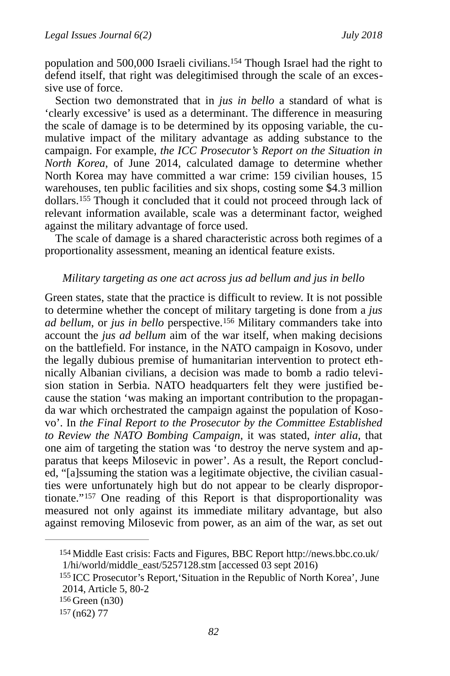<span id="page-36-4"></span>population and 500,000 Israeli civilians[.](#page-36-0)<sup>[154](#page-36-0)</sup> Though Israel had the right to defend itself, that right was delegitimised through the scale of an excessive use of force.

Section two demonstrated that in *jus in bello* a standard of what is 'clearly excessive' is used as a determinant. The difference in measuring the scale of damage is to be determined by its opposing variable, the cumulative impact of the military advantage as adding substance to the campaign. For example, *the ICC Prosecutor's Report on the Situation in North Korea*, of June 2014, calculated damage to determine whether North Korea may have committed a war crime: 159 civilian houses, 15 warehouses, ten public facilities and six shops, costing some \$4.3 million dollars.<sup>155</sup>Though it concluded that it could not proceed through lack of relevant information available, scale was a determinant factor, weighed against the military advantage of force used.

<span id="page-36-5"></span>The scale of damage is a shared characteristic across both regimes of a proportionality assessment, meaning an identical feature exists.

#### <span id="page-36-6"></span>*Military targeting as one act across jus ad bellum and jus in bello*

Green states, state that the practice is difficult to review. It is not possible to determine whether the concept of military targeting is done from a *jus adbellum*, or *jus in bello* perspective.<sup>[156](#page-36-2)</sup> Military commanders take into account the *jus ad bellum* aim of the war itself, when making decisions on the battlefield. For instance, in the NATO campaign in Kosovo, under the legally dubious premise of humanitarian intervention to protect ethnically Albanian civilians, a decision was made to bomb a radio television station in Serbia. NATO headquarters felt they were justified because the station 'was making an important contribution to the propaganda war which orchestrated the campaign against the population of Kosovo'. In *the Final Report to the Prosecutor by the Committee Established to Review the NATO Bombing Campaign,* it was stated, *inter alia*, that one aim of targeting the station was 'to destroy the nerve system and apparatus that keeps Milosevic in power'. As a result, the Report concluded, "[a]ssuming the station was a legitimate objective, the civilian casualties were unfortunately high but do not appear to be clearly disproportionate." $157$ One reading of this Report is that disproportionality was measured not only against its immediate military advantage, but also against removing Milosevic from power, as an aim of the war, as set out

<span id="page-36-7"></span><span id="page-36-0"></span>[<sup>154</sup>](#page-36-4) Middle East crisis: Facts and Figures, BBC Report http://news.bbc.co.uk/ 1/hi/world/middle\_east/5257128.stm [accessed 03 sept 2016)

<span id="page-36-1"></span><sup>&</sup>lt;sup>[155](#page-36-5)</sup> ICC Prosecutor's Report, 'Situation in the Republic of North Korea', June 2014, Article 5, 80-2

<span id="page-36-2"></span>Green (n30) [156](#page-36-6)

<span id="page-36-3"></span>[<sup>157</sup>](#page-36-7) (n62) 77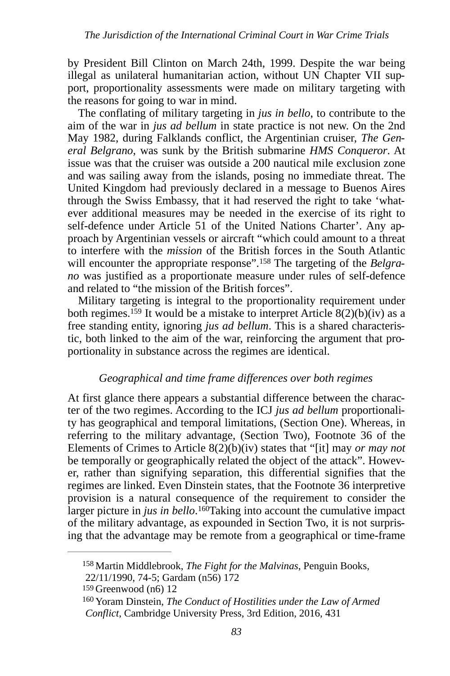by President Bill Clinton on March 24th, 1999. Despite the war being illegal as unilateral humanitarian action, without UN Chapter VII support, proportionality assessments were made on military targeting with the reasons for going to war in mind.

The conflating of military targeting in *jus in bello*, to contribute to the aim of the war in *jus ad bellum* in state practice is not new. On the 2nd May 1982, during Falklands conflict, the Argentinian cruiser, *The General Belgrano*, was sunk by the British submarine *HMS Conqueror*. At issue was that the cruiser was outside a 200 nautical mile exclusion zone and was sailing away from the islands, posing no immediate threat. The United Kingdom had previously declared in a message to Buenos Aires through the Swiss Embassy, that it had reserved the right to take 'whatever additional measures may be needed in the exercise of its right to self-defence under Article 51 of the United Nations Charter'. Any approach by Argentinian vessels or aircraft "which could amount to a threat to interfere with the *mission* of the British forces in the South Atlantic willencounter the appropriate response".<sup>158</sup> The targeting of the *Belgrano* was justified as a proportionate measure under rules of self-defence and related to "the mission of the British forces".

<span id="page-37-4"></span><span id="page-37-3"></span>Military targeting is integral to the proportionality requirement under both regimes[.](#page-37-1)<sup>[159](#page-37-1)</sup> It would be a mistake to interpret Article  $8(2)(b)(iv)$  as a free standing entity, ignoring *jus ad bellum*. This is a shared characteristic, both linked to the aim of the war, reinforcing the argument that proportionality in substance across the regimes are identical.

#### *Geographical and time frame differences over both regimes*

At first glance there appears a substantial difference between the character of the two regimes. According to the ICJ *jus ad bellum* proportionality has geographical and temporal limitations, (Section One). Whereas, in referring to the military advantage, (Section Two), Footnote 36 of the Elements of Crimes to Article 8(2)(b)(iv) states that "[it] may *or may not* be temporally or geographically related the object of the attack". However, rather than signifying separation, this differential signifies that the regimes are linked. Even Dinstein states, that the Footnote 36 interpretive provision is a natural consequence of the requirement to consider the larger picture in *jus in bello*.<sup>160</sup>[T](#page-37-2)aking into account the cumulative impact of the military advantage, as expounded in Section Two, it is not surprising that the advantage may be remote from a geographical or time-frame

<span id="page-37-5"></span><span id="page-37-0"></span><sup>&</sup>lt;sup>[158](#page-37-3)</sup> Martin Middlebrook, *The Fight for the Malvinas*, Penguin Books,

<sup>22/11/1990, 74-5;</sup> Gardam (n56) 172

<span id="page-37-1"></span>[<sup>159</sup>](#page-37-4) Greenwood (n6) 12

<span id="page-37-2"></span><sup>&</sup>lt;sup>[160](#page-37-5)</sup> Yoram Dinstein, *The Conduct of Hostilities under the Law of Armed Conflict*, Cambridge University Press, 3rd Edition, 2016, 431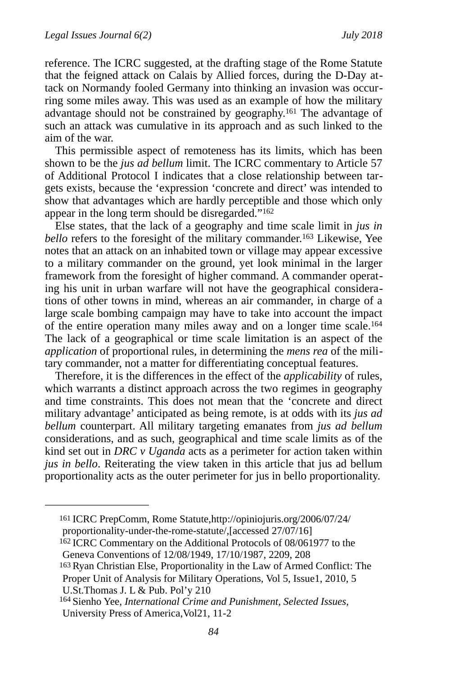reference. The ICRC suggested, at the drafting stage of the Rome Statute that the feigned attack on Calais by Allied forces, during the D-Day attack on Normandy fooled Germany into thinking an invasion was occurring some miles away. This was used as an example of how the military advantage should not be constrained by geography[.](#page-38-0)<sup>[161](#page-38-0)</sup> The advantage of such an attack was cumulative in its approach and as such linked to the aim of the war.

<span id="page-38-4"></span>This permissible aspect of remoteness has its limits, which has been shown to be the *jus ad bellum* limit. The ICRC commentary to Article 57 of Additional Protocol I indicates that a close relationship between targets exists, because the 'expression 'concrete and direct' was intended to show that advantages which are hardly perceptible and those which only appear in the long term should be disregarded."<sup>162</sup>

<span id="page-38-6"></span><span id="page-38-5"></span>Else states, that the lack of a geography and time scale limit in *jus in bello*refers to the foresight of the military commander.<sup>[163](#page-38-2)</sup> Likewise, Yee notes that an attack on an inhabited town or village may appear excessive to a military commander on the ground, yet look minimal in the larger framework from the foresight of higher command. A commander operating his unit in urban warfare will not have the geographical considerations of other towns in mind, whereas an air commander, in charge of a large scale bombing campaign may have to take into account the impact of the entire operation many miles away and on a longer time scale[.164](#page-38-3) The lack of a geographical or time scale limitation is an aspect of the *application* of proportional rules, in determining the *mens rea* of the military commander, not a matter for differentiating conceptual features.

<span id="page-38-7"></span>Therefore, it is the differences in the effect of the *applicability* of rules, which warrants a distinct approach across the two regimes in geography and time constraints. This does not mean that the 'concrete and direct military advantage' anticipated as being remote, is at odds with its *jus ad bellum* counterpart. All military targeting emanates from *jus ad bellum* considerations, and as such, geographical and time scale limits as of the kind set out in *DRC v Uganda* acts as a perimeter for action taken within *jus in bello*. Reiterating the view taken in this article that jus ad bellum proportionality acts as the outer perimeter for jus in bello proportionality.

<span id="page-38-1"></span><sup>[162](#page-38-5)</sup> ICRC Commentary on the Additional Protocols of 08/061977 to the Geneva Conventions of 12/08/1949, 17/10/1987, 2209, 208

<span id="page-38-0"></span>ICRC PrepComm, Rome Statute,http://opiniojuris.org/2006/07/24/ [161](#page-38-4) proportionality-under-the-rome-statute/,[accessed 27/07/16]

<span id="page-38-2"></span><sup>&</sup>lt;sup>[163](#page-38-6)</sup> Ryan Christian Else, Proportionality in the Law of Armed Conflict: The Proper Unit of Analysis for Military Operations, Vol 5, Issue1, 2010, 5 U.St.Thomas J. L & Pub. Pol'y 210

<span id="page-38-3"></span><sup>&</sup>lt;sup>[164](#page-38-7)</sup> Sienho Yee, *International Crime and Punishment, Selected Issues*, University Press of America,Vol21, 11-2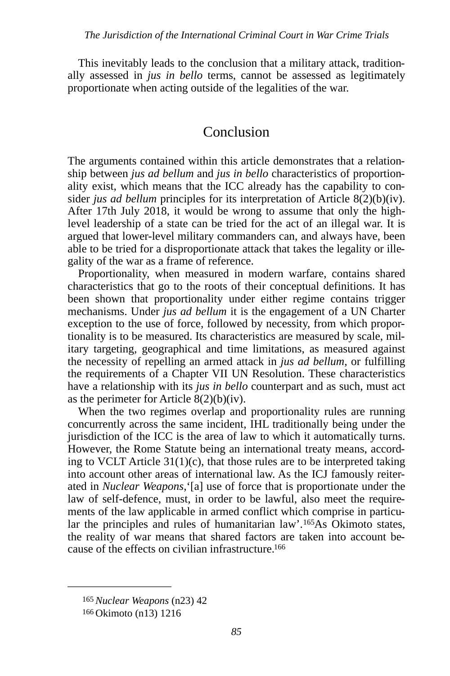This inevitably leads to the conclusion that a military attack, traditionally assessed in *jus in bello* terms, cannot be assessed as legitimately proportionate when acting outside of the legalities of the war.

# Conclusion

The arguments contained within this article demonstrates that a relationship between *jus ad bellum* and *jus in bello* characteristics of proportionality exist, which means that the ICC already has the capability to consider *jus ad bellum* principles for its interpretation of Article 8(2)(b)(iv). After 17th July 2018, it would be wrong to assume that only the highlevel leadership of a state can be tried for the act of an illegal war. It is argued that lower-level military commanders can, and always have, been able to be tried for a disproportionate attack that takes the legality or illegality of the war as a frame of reference.

Proportionality, when measured in modern warfare, contains shared characteristics that go to the roots of their conceptual definitions. It has been shown that proportionality under either regime contains trigger mechanisms. Under *jus ad bellum* it is the engagement of a UN Charter exception to the use of force, followed by necessity, from which proportionality is to be measured. Its characteristics are measured by scale, military targeting, geographical and time limitations, as measured against the necessity of repelling an armed attack in *jus ad bellum*, or fulfilling the requirements of a Chapter VII UN Resolution. These characteristics have a relationship with its *jus in bello* counterpart and as such, must act as the perimeter for Article  $8(2)(b)(iv)$ .

When the two regimes overlap and proportionality rules are running concurrently across the same incident, IHL traditionally being under the jurisdiction of the ICC is the area of law to which it automatically turns. However, the Rome Statute being an international treaty means, according to VCLT Article 31(1)(c), that those rules are to be interpreted taking into account other areas of international law. As the ICJ famously reiterated in *Nuclear Weapons*,'[a] use of force that is proportionate under the law of self-defence, must, in order to be lawful, also meet the requirements of the law applicable in armed conflict which comprise in particu-lar the principles and rules of humanitarian law'.<sup>165</sup>[A](#page-39-0)s Okimoto states, the reality of war means that shared factors are taken into account because of the effects on civilian infrastructure[.](#page-39-1) [166](#page-39-1)

<span id="page-39-3"></span><span id="page-39-2"></span><span id="page-39-0"></span>[<sup>165</sup>](#page-39-2)*Nuclear Weapons* (n23) 42

<span id="page-39-1"></span>[<sup>166</sup>](#page-39-3) Okimoto (n13) 1216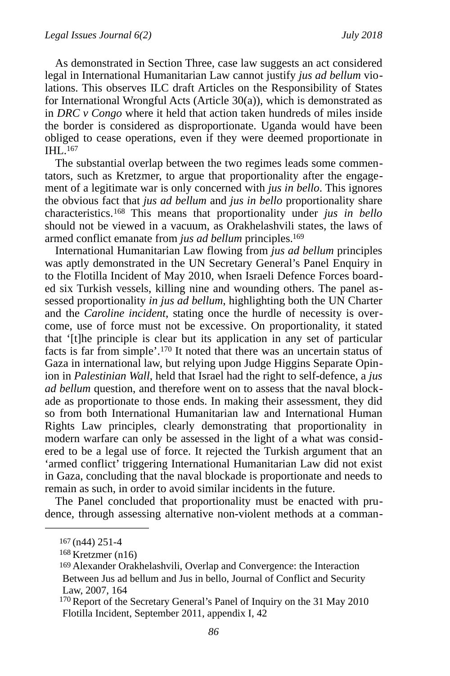As demonstrated in Section Three, case law suggests an act considered legal in International Humanitarian Law cannot justify *jus ad bellum* violations. This observes ILC draft Articles on the Responsibility of States for International Wrongful Acts (Article 30(a)), which is demonstrated as in *DRC v Congo* where it held that action taken hundreds of miles inside the border is considered as disproportionate. Uganda would have been obliged to cease operations, even if they were deemed proportionate in IHL[.](#page-40-0) [167](#page-40-0)

<span id="page-40-4"></span>The substantial overlap between the two regimes leads some commentators, such as Kretzmer, to argue that proportionality after the engagement of a legitimate war is only concerned with *jus in bello*. This ignores the obvious fact that *jus ad bellum* and *jus in bello* proportionality share characteristics.<sup>168</sup>This means that proportionality under *jus in bello* should not be viewed in a vacuum, as Orakhelashvili states, the laws of armed conflict emanate from *jus ad bellum* principles[.](#page-40-2) [169](#page-40-2)

<span id="page-40-7"></span><span id="page-40-6"></span><span id="page-40-5"></span>International Humanitarian Law flowing from *jus ad bellum* principles was aptly demonstrated in the UN Secretary General's Panel Enquiry in to the Flotilla Incident of May 2010, when Israeli Defence Forces boarded six Turkish vessels, killing nine and wounding others. The panel assessed proportionality *in jus ad bellum*, highlighting both the UN Charter and the *Caroline incident*, stating once the hurdle of necessity is overcome, use of force must not be excessive. On proportionality, it stated that '[t]he principle is clear but its application in any set of particular factsis far from simple'.<sup>[170](#page-40-3)</sup> It noted that there was an uncertain status of Gaza in international law, but relying upon Judge Higgins Separate Opinion in *Palestinian Wall*, held that Israel had the right to self-defence, a *jus ad bellum* question, and therefore went on to assess that the naval blockade as proportionate to those ends. In making their assessment, they did so from both International Humanitarian law and International Human Rights Law principles, clearly demonstrating that proportionality in modern warfare can only be assessed in the light of a what was considered to be a legal use of force. It rejected the Turkish argument that an 'armed conflict' triggering International Humanitarian Law did not exist in Gaza, concluding that the naval blockade is proportionate and needs to remain as such, in order to avoid similar incidents in the future.

The Panel concluded that proportionality must be enacted with prudence, through assessing alternative non-violent methods at a comman-

<span id="page-40-0"></span>[<sup>167</sup>](#page-40-4) (n44) 251-4

<span id="page-40-1"></span> $168$  Kretzmer (n16)

<span id="page-40-2"></span><sup>&</sup>lt;sup>[169](#page-40-6)</sup> Alexander Orakhelashvili, Overlap and Convergence: the Interaction Between Jus ad bellum and Jus in bello, Journal of Conflict and Security Law, 2007, 164

<span id="page-40-3"></span> $170$  Report of the Secretary General's Panel of Inquiry on the 31 May 2010 Flotilla Incident, September 2011, appendix I, 42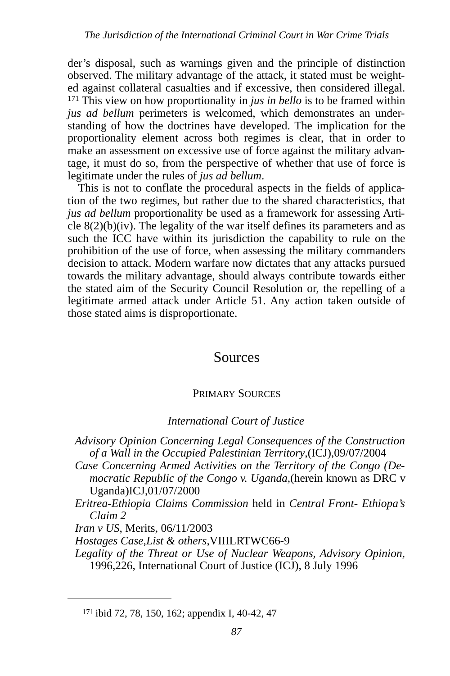<span id="page-41-1"></span>der's disposal, such as warnings given and the principle of distinction observed. The military advantage of the attack, it stated must be weighted against collateral casualties and if excessive, then considered illegal.  $171$  This view on how proportionality in *jus in bello* is to be framed within *jus ad bellum* perimeters is welcomed, which demonstrates an understanding of how the doctrines have developed. The implication for the proportionality element across both regimes is clear, that in order to make an assessment on excessive use of force against the military advantage, it must do so, from the perspective of whether that use of force is legitimate under the rules of *jus ad bellum*.

This is not to conflate the procedural aspects in the fields of application of the two regimes, but rather due to the shared characteristics, that *jus ad bellum* proportionality be used as a framework for assessing Article  $8(2)(b)(iv)$ . The legality of the war itself defines its parameters and as such the ICC have within its jurisdiction the capability to rule on the prohibition of the use of force, when assessing the military commanders decision to attack. Modern warfare now dictates that any attacks pursued towards the military advantage, should always contribute towards either the stated aim of the Security Council Resolution or, the repelling of a legitimate armed attack under Article 51. Any action taken outside of those stated aims is disproportionate.

# Sources

## PRIMARY SOURCES

## *International Court of Justice*

- *Advisory Opinion Concerning Legal Consequences of the Construction of a Wall in the Occupied Palestinian Territory*,(ICJ),09/07/2004
- *Case Concerning Armed Activities on the Territory of the Congo (Democratic Republic of the Congo v. Uganda,*(herein known as DRC v Uganda)ICJ,01/07/2000
- *Eritrea-Ethiopia Claims Commission* held in *Central Front- Ethiopa's Claim 2*

*Iran v US*, Merits, 06/11/2003

*Hostages Case,List & others*,VIIILRTWC66-9

*Legality of the Threat or Use of Nuclear Weapons, Advisory Opinion*, 1996,226, International Court of Justice (ICJ), 8 July 1996

<span id="page-41-0"></span>[<sup>171</sup>](#page-41-1) ibid 72, 78, 150, 162; appendix I, 40-42, 47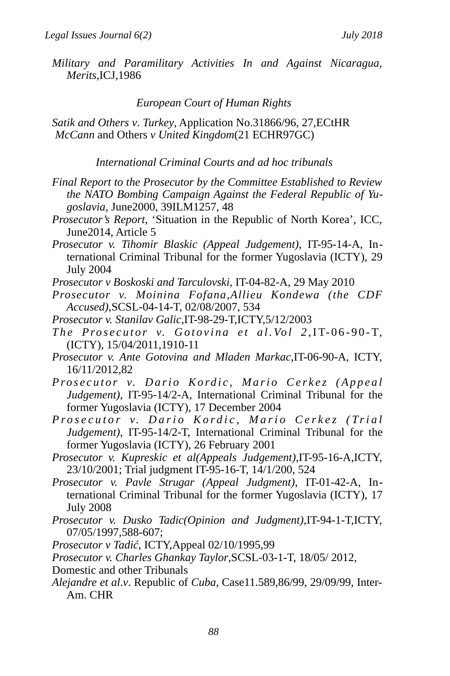*Military and Paramilitary Activities In and Against Nicaragua, Merits*,ICJ,1986

### *European Court of Human Rights*

*Satik and Others v*. *Turkey*, Application No.31866/96, 27,ECtHR *McCann* and Others *v United Kingdom*(21 ECHR97GC)

*International Criminal Courts and ad hoc tribunals* 

- *Final Report to the Prosecutor by the Committee Established to Review the NATO Bombing Campaign Against the Federal Republic of Yugoslavia*, June2000, 39ILM1257, 48
- *Prosecutor's Report*, 'Situation in the Republic of North Korea', ICC, June2014, Article 5
- *Prosecutor v. Tihomir Blaskic (Appeal Judgement)*, IT-95-14-A, International Criminal Tribunal for the former Yugoslavia (ICTY), 29 July 2004

*Prosecutor v Boskoski and Tarculovski*, IT-04-82-A, 29 May 2010

- *Prosecutor v. Moinina Fofana,Allieu Kondewa (the CDF Accused)*,SCSL-04-14-T, 02/08/2007, 534
- *Prosecutor v. Stanilav Galic*,IT-98-29-T,ICTY,5/12/2003
- The Prosecutor v. Gotovina et al. Vol 2, IT-06-90-T, (ICTY), 15/04/2011,1910-11

*Prosecutor v. Ante Gotovina and Mladen Markac*,IT-06-90-A, ICTY, 16/11/2012,82

- Prosecutor v. Dario Kordic, Mario Cerkez (Appeal *Judgement)*, IT-95-14/2-A, International Criminal Tribunal for the former Yugoslavia (ICTY), 17 December 2004
- Prosecutor v. Dario Kordic, Mario Cerkez (Trial *Judgement)*, IT-95-14/2-T, International Criminal Tribunal for the former Yugoslavia (ICTY), 26 February 2001
- *Prosecutor v. Kupreskic et al(Appeals Judgement)*,IT-95-16-A,ICTY, 23/10/2001; Trial judgment IT-95-16-T, 14/1/200, 524
- *Prosecutor v. Pavle Strugar (Appeal Judgment)*, IT-01-42-A, International Criminal Tribunal for the former Yugoslavia (ICTY), 17 July 2008
- *Prosecutor v. Dusko Tadic(Opinion and Judgment)*,IT-94-1-T,ICTY, 07/05/1997,588-607;

*Prosecutor v Tadić*, ICTY,Appeal 02/10/1995,99

*Prosecutor v. Charles Ghankay Taylor*,SCSL-03-1-T, 18/05/ 2012,

- Domestic and other Tribunals
- *Alejandre et al*.*v*. Republic of *Cuba*, Case11.589,86/99, 29/09/99, Inter-Am. CHR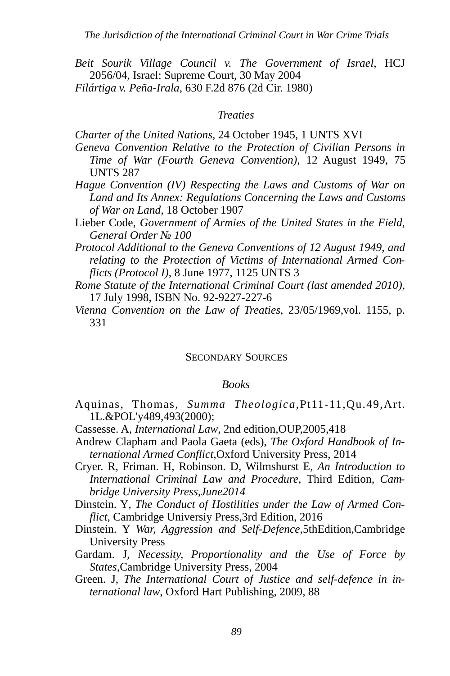*Beit Sourik Village Council v. The Government of Israel*, HCJ 2056/04, Israel: Supreme Court, 30 May 2004 *Filártiga v. Peña-Irala*, 630 F.2d 876 (2d Cir. 1980)

#### *Treaties*

*Charter of the United Nations*, 24 October 1945, 1 UNTS XVI

- *Geneva Convention Relative to the Protection of Civilian Persons in Time of War (Fourth Geneva Convention)*, 12 August 1949, 75 UNTS 287
- *Hague Convention (IV) Respecting the Laws and Customs of War on Land and Its Annex: Regulations Concerning the Laws and Customs of War on Land*, 18 October 1907
- Lieber Code, *Government of Armies of the United States in the Field, General Order № 100*

*Protocol Additional to the Geneva Conventions of 12 August 1949, and relating to the Protection of Victims of International Armed Conflicts (Protocol I)*, 8 June 1977, 1125 UNTS 3

- *Rome Statute of the International Criminal Court (last amended 2010)*, 17 July 1998, ISBN No. 92-9227-227-6
- *Vienna Convention on the Law of Treaties*, 23/05/1969,vol. 1155, p. 331

#### SECONDARY SOURCES

#### *Books*

- Aquinas, Thomas, *Summa Theologica*,Pt11-11,Qu.49,Art. 1L.&POL'y489,493(2000);
- Cassesse. A, *International Law*, 2nd edition,OUP,2005,418
- Andrew Clapham and Paola Gaeta (eds), *The Oxford Handbook of International Armed Conflict*,Oxford University Press, 2014
- Cryer. R, Friman. H, Robinson. D, Wilmshurst E, *An Introduction to International Criminal Law and Procedure*, Third Edition*, Cambridge University Press,June2014*
- Dinstein. Y*, The Conduct of Hostilities under the Law of Armed Conflict*, Cambridge Universiy Press,3rd Edition, 2016
- Dinstein. Y *War, Aggression and Self-Defence*,5thEdition,Cambridge University Press
- Gardam. J, *Necessity, Proportionality and the Use of Force by States*,Cambridge University Press, 2004
- Green. J, *The International Court of Justice and self-defence in international law*, Oxford Hart Publishing, 2009, 88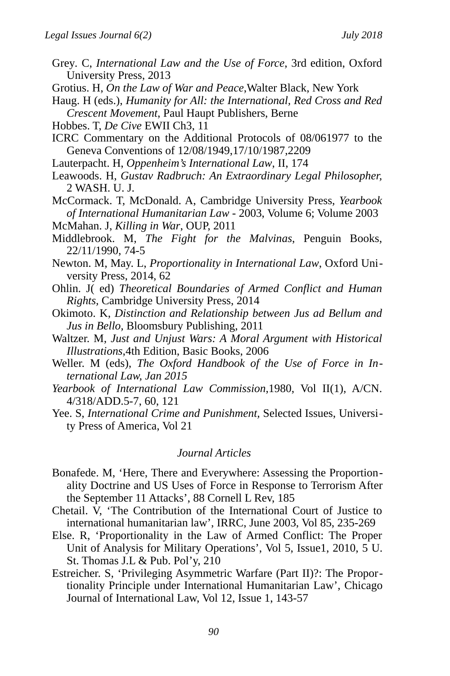- Grey*.* C, *International Law and the Use of Force*, 3rd edition, Oxford University Press, 2013
- Grotius. H, *On the Law of War and Peace*,Walter Black, New York

Haug. H (eds.), *Humanity for All: the International, Red Cross and Red Crescent Movement*, Paul Haupt Publishers, Berne

Hobbes. T, *De Cive* EWII Ch3, 11

ICRC Commentary on the Additional Protocols of 08/061977 to the Geneva Conventions of 12/08/1949,17/10/1987,2209

- Lauterpacht. H, *Oppenheim's International Law*, II, 174
- Leawoods. H, *Gustav Radbruch: An Extraordinary Legal Philosopher,*  2 WASH. U. J.
- McCormack. T, McDonald. A, Cambridge University Press, *Yearbook of International Humanitarian Law* - 2003, Volume 6; Volume 2003
- McMahan. J, *Killing in War*, OUP, 2011
- Middlebrook. M, *The Fight for the Malvinas*, Penguin Books, 22/11/1990, 74-5
- Newton. M, May. L, *Proportionality in International Law*, Oxford University Press, 2014, 62
- Ohlin. J( ed) *Theoretical Boundaries of Armed Conflict and Human Rights,* Cambridge University Press, 2014
- Okimoto. K, *Distinction and Relationship between Jus ad Bellum and Jus in Bello,* Bloomsbury Publishing, 2011
- Waltzer. M, *Just and Unjust Wars: A Moral Argument with Historical Illustrations*,4th Edition, Basic Books, 2006
- Weller. M (eds), *[The Oxford Handbook of the Use of Force in In](http://www.oxfordhandbooks.com/view/10.1093/law/9780199673049.001.0001/oxfordhb-9780199673049)[ternational Law, Jan 2015](http://www.oxfordhandbooks.com/view/10.1093/law/9780199673049.001.0001/oxfordhb-9780199673049)*
- *Yearbook of International Law Commission*,1980, Vol II(1), A/CN. 4/318/ADD.5-7, 60, 121
- Yee. S, *International Crime and Punishment,* Selected Issues, University Press of America, Vol 21

#### *Journal Articles*

- Bonafede. M, 'Here, There and Everywhere: Assessing the Proportionality Doctrine and US Uses of Force in Response to Terrorism After the September 11 Attacks', 88 Cornell L Rev, 185
- Chetail. V, 'The Contribution of the International Court of Justice to international humanitarian law', IRRC, June 2003, Vol 85, 235-269
- Else. R, 'Proportionality in the Law of Armed Conflict: The Proper Unit of Analysis for Military Operations', Vol 5, Issue1, 2010, 5 U. St. Thomas J.L & Pub. Pol'y, 210
- Estreicher. S, 'Privileging Asymmetric Warfare (Part II)?: The Proportionality Principle under International Humanitarian Law', Chicago Journal of International Law, Vol 12, Issue 1, 143-57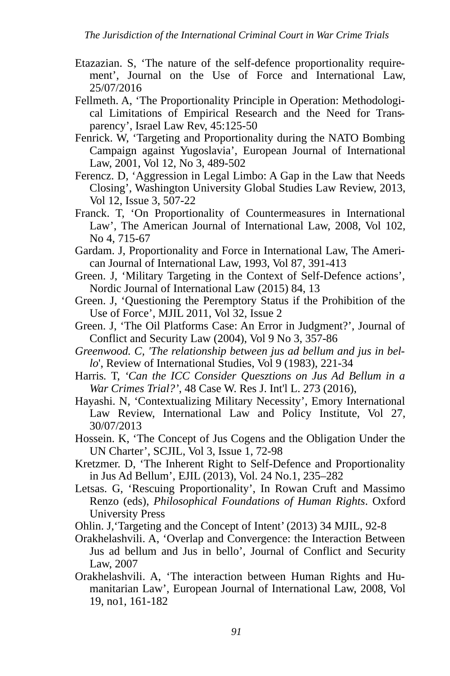- Etazazian. S, 'The nature of the self-defence proportionality requirement', Journal on the Use of Force and International Law, 25/07/2016
- Fellmeth. A, 'The Proportionality Principle in Operation: Methodological Limitations of Empirical Research and the Need for Transparency', Israel Law Rev, 45:125-50
- Fenrick. W, 'Targeting and Proportionality during the NATO Bombing Campaign against Yugoslavia', European Journal of International Law, 2001, Vol 12, No 3, 489-502
- Ferencz. D, 'Aggression in Legal Limbo: A Gap in the Law that Needs Closing', Washington University Global Studies Law Review, 2013, Vol 12, Issue 3, 507-22
- Franck. T, 'On Proportionality of Countermeasures in International Law', The American Journal of International Law, 2008, Vol 102, No 4, 715-67
- Gardam. J, Proportionality and Force in International Law, The American Journal of International Law, 1993, Vol 87, 391-413
- Green. J, 'Military Targeting in the Context of Self-Defence actions', Nordic Journal of International Law (2015) 84, 13
- Green. J, 'Questioning the Peremptory Status if the Prohibition of the Use of Force', MJIL 2011, Vol 32, Issue 2
- Green. J, 'The Oil Platforms Case: An Error in Judgment?', Journal of Conflict and Security Law (2004), Vol 9 No 3, 357-86
- *Greenwood. C, 'The relationship between jus ad bellum and jus in bello*', Review of International Studies, Vol 9 (1983), 221-34
- Harris*.* T, *'Can the ICC Consider Quesztions on Jus Ad Bellum in a War Crimes Trial?'*, 48 Case W. Res J. Int'l L. 273 (2016),
- Hayashi. N, 'Contextualizing Military Necessity', Emory International Law Review, International Law and Policy Institute, Vol 27, 30/07/2013
- Hossein. K, 'The Concept of Jus Cogens and the Obligation Under the UN Charter', SCJIL, Vol 3, Issue 1, 72-98
- Kretzmer. D, 'The Inherent Right to Self-Defence and Proportionality in Jus Ad Bellum', EJIL (2013), Vol. 24 No.1, 235–282
- Letsas. G, 'Rescuing Proportionality', In Rowan Cruft and Massimo Renzo (eds), *Philosophical Foundations of Human Rights*. Oxford University Press

Ohlin. J,'Targeting and the Concept of Intent' (2013) 34 MJIL, 92-8

- Orakhelashvili. A, 'Overlap and Convergence: the Interaction Between Jus ad bellum and Jus in bello', Journal of Conflict and Security Law, 2007
- Orakhelashvili. A, 'The interaction between Human Rights and Humanitarian Law', European Journal of International Law, 2008, Vol 19, no1, 161-182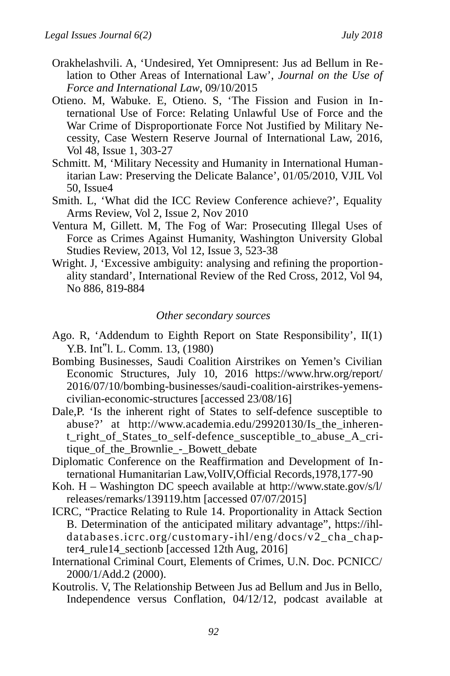- Orakhelashvili. A, 'Undesired, Yet Omnipresent: Jus ad Bellum in Relation to Other Areas of International Law', *Journal on the Use of Force and International Law*, 09/10/2015
- Otieno. M, Wabuke. E, Otieno. S, 'The Fission and Fusion in International Use of Force: Relating Unlawful Use of Force and the War Crime of Disproportionate Force Not Justified by Military Necessity, Case Western Reserve Journal of International Law, 2016, Vol 48, Issue 1, 303-27
- Schmitt. M, 'Military Necessity and Humanity in International Humanitarian Law: Preserving the Delicate Balance', 01/05/2010, VJIL Vol 50, Issue4
- Smith. L, 'What did the ICC Review Conference achieve?', Equality Arms Review, Vol 2, Issue 2, Nov 2010
- Ventura M, Gillett. M, The Fog of War: Prosecuting Illegal Uses of Force as Crimes Against Humanity, Washington University Global Studies Review, 2013, Vol 12, Issue 3, 523-38
- Wright. J, 'Excessive ambiguity: analysing and refining the proportionality standard', International Review of the Red Cross, 2012, Vol 94, No 886, 819-884

#### *Other secondary sources*

- Ago. R, 'Addendum to Eighth Report on State Responsibility', II(1) Y.B. Int"l. L. Comm. 13, (1980)
- Bombing Businesses, Saudi Coalition Airstrikes on Yemen's Civilian Economic Structures, July 10, 2016 https://www.hrw.org/report/ 2016/07/10/bombing-businesses/saudi-coalition-airstrikes-yemenscivilian-economic-structures [accessed 23/08/16]
- Dale,P. 'Is the inherent right of States to self-defence susceptible to abuse?' at http://www.academia.edu/29920130/Is\_the\_inherent\_right\_of\_States\_to\_self-defence\_susceptible\_to\_abuse\_A\_critique\_of\_the\_Brownlie\_-\_Bowett\_debate
- Diplomatic Conference on the Reaffirmation and Development of International Humanitarian Law,VolIV,Official Records,1978,177-90
- Koh. H Washington DC speech available at http://www.state.gov/s/l/ releases/remarks/139119.htm [accessed 07/07/2015]
- ICRC, "Practice Relating to Rule 14. Proportionality in Attack Section B. Determination of the anticipated military advantage", https://ihldatabases.icrc.org/customary-ihl/eng/docs/v2\_cha\_chapter4\_rule14\_sectionb [accessed 12th Aug, 2016]
- International Criminal Court, Elements of Crimes, U.N. Doc. PCNICC/ 2000/1/Add.2 (2000).
- Koutrolis. V, The Relationship Between Jus ad Bellum and Jus in Bello, Independence versus Conflation, 04/12/12, podcast available at